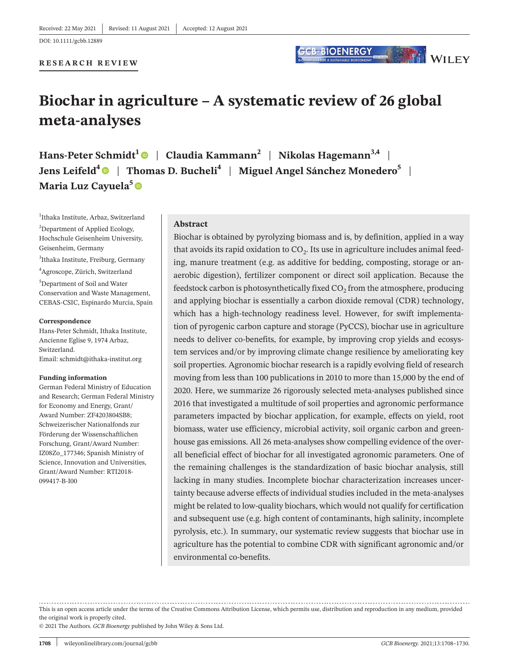**RESEARCH REVIEW**



# **Biochar in agriculture – A systematic review of 26 global meta-analyses**

**Hans-Peter Schmidt<sup>1</sup>**  $\bullet$  **| Claudia Kammann<sup>2</sup> | Nikolas Hagemann<sup>3,4</sup> | Jens Leifeld[4](https://orcid.org/0000-0002-7245-9852)** | **Thomas D. Bucheli4** | **Miguel Angel Sánchez Monedero5** | **Maria Luz Cayuela5**

1 Ithaka Institute, Arbaz, Switzerland

2 Department of Applied Ecology, Hochschule Geisenheim University, Geisenheim, Germany

3 Ithaka Institute, Freiburg, Germany

4 Agroscope, Zürich, Switzerland 5 Department of Soil and Water Conservation and Waste Management, CEBAS-CSIC, Espinardo Murcia, Spain

#### **Correspondence**

Hans-Peter Schmidt, Ithaka Institute, Ancienne Eglise 9, 1974 Arbaz, Switzerland. Email: [schmidt@ithaka-institut.org](mailto:schmidt@ithaka-institut.org)

#### **Funding information**

German Federal Ministry of Education and Research; German Federal Ministry for Economy and Energy, Grant/ Award Number: ZF4203804SB8; Schweizerischer Nationalfonds zur Förderung der Wissenschaftlichen Forschung, Grant/Award Number: IZ08Zo\_177346; Spanish Ministry of Science, Innovation and Universities, Grant/Award Number: RTI2018- 099417-B-I00

#### **Abstract**

Biochar is obtained by pyrolyzing biomass and is, by definition, applied in a way that avoids its rapid oxidation to  $CO<sub>2</sub>$ . Its use in agriculture includes animal feeding, manure treatment (e.g. as additive for bedding, composting, storage or anaerobic digestion), fertilizer component or direct soil application. Because the feedstock carbon is photosynthetically fixed  $CO<sub>2</sub>$  from the atmosphere, producing and applying biochar is essentially a carbon dioxide removal (CDR) technology, which has a high-technology readiness level. However, for swift implementation of pyrogenic carbon capture and storage (PyCCS), biochar use in agriculture needs to deliver co-benefits, for example, by improving crop yields and ecosystem services and/or by improving climate change resilience by ameliorating key soil properties. Agronomic biochar research is a rapidly evolving field of research moving from less than 100 publications in 2010 to more than 15,000 by the end of 2020. Here, we summarize 26 rigorously selected meta-analyses published since 2016 that investigated a multitude of soil properties and agronomic performance parameters impacted by biochar application, for example, effects on yield, root biomass, water use efficiency, microbial activity, soil organic carbon and greenhouse gas emissions. All 26 meta-analyses show compelling evidence of the overall beneficial effect of biochar for all investigated agronomic parameters. One of the remaining challenges is the standardization of basic biochar analysis, still lacking in many studies. Incomplete biochar characterization increases uncertainty because adverse effects of individual studies included in the meta-analyses might be related to low-quality biochars, which would not qualify for certification and subsequent use (e.g. high content of contaminants, high salinity, incomplete pyrolysis, etc.). In summary, our systematic review suggests that biochar use in agriculture has the potential to combine CDR with significant agronomic and/or environmental co-benefits.

This is an open access article under the terms of the [Creative Commons Attribution](http://creativecommons.org/licenses/by/4.0/) License, which permits use, distribution and reproduction in any medium, provided the original work is properly cited.

© 2021 The Authors. *GCB Bioenergy* published by John Wiley & Sons Ltd.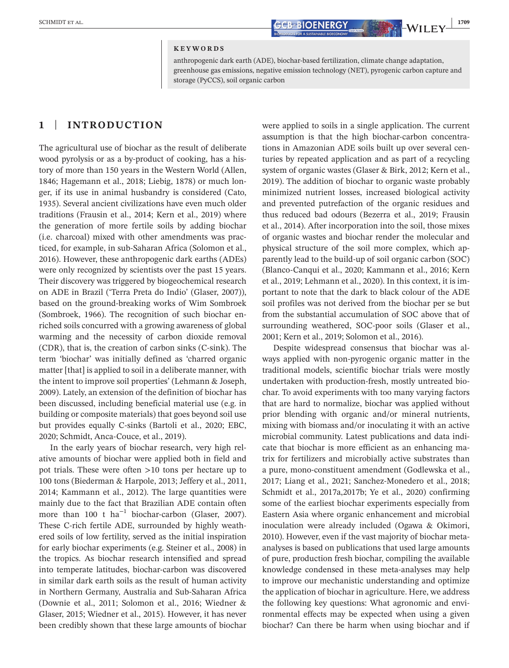#### **KEYWORDS**

anthropogenic dark earth (ADE), biochar-based fertilization, climate change adaptation, greenhouse gas emissions, negative emission technology (NET), pyrogenic carbon capture and storage (PyCCS), soil organic carbon

## **1** | **INTRODUCTION**

The agricultural use of biochar as the result of deliberate wood pyrolysis or as a by-product of cooking, has a history of more than 150 years in the Western World (Allen, 1846; Hagemann et al., 2018; Liebig, 1878) or much longer, if its use in animal husbandry is considered (Cato, 1935). Several ancient civilizations have even much older traditions (Frausin et al., 2014; Kern et al., 2019) where the generation of more fertile soils by adding biochar (i.e. charcoal) mixed with other amendments was practiced, for example, in sub-Saharan Africa (Solomon et al., 2016). However, these anthropogenic dark earths (ADEs) were only recognized by scientists over the past 15 years. Their discovery was triggered by biogeochemical research on ADE in Brazil ('Terra Preta do Indio' (Glaser, 2007)), based on the ground-breaking works of Wim Sombroek (Sombroek, 1966). The recognition of such biochar enriched soils concurred with a growing awareness of global warming and the necessity of carbon dioxide removal (CDR), that is, the creation of carbon sinks (C-sink). The term 'biochar' was initially defined as 'charred organic matter [that] is applied to soil in a deliberate manner, with the intent to improve soil properties' (Lehmann & Joseph, 2009). Lately, an extension of the definition of biochar has been discussed, including beneficial material use (e.g. in building or composite materials) that goes beyond soil use but provides equally C-sinks (Bartoli et al., 2020; EBC, 2020; Schmidt, Anca-Couce, et al., 2019).

In the early years of biochar research, very high relative amounts of biochar were applied both in field and pot trials. These were often >10 tons per hectare up to 100 tons (Biederman & Harpole, 2013; Jeffery et al., 2011, 2014; Kammann et al., 2012). The large quantities were mainly due to the fact that Brazilian ADE contain often more than 100 t  $ha^{-1}$  biochar-carbon (Glaser, 2007). These C-rich fertile ADE, surrounded by highly weathered soils of low fertility, served as the initial inspiration for early biochar experiments (e.g. Steiner et al., 2008) in the tropics. As biochar research intensified and spread into temperate latitudes, biochar-carbon was discovered in similar dark earth soils as the result of human activity in Northern Germany, Australia and Sub-Saharan Africa (Downie et al., 2011; Solomon et al., 2016; Wiedner & Glaser, 2015; Wiedner et al., 2015). However, it has never been credibly shown that these large amounts of biochar were applied to soils in a single application. The current assumption is that the high biochar-carbon concentrations in Amazonian ADE soils built up over several centuries by repeated application and as part of a recycling system of organic wastes (Glaser & Birk, 2012; Kern et al., 2019). The addition of biochar to organic waste probably minimized nutrient losses, increased biological activity and prevented putrefaction of the organic residues and thus reduced bad odours (Bezerra et al., 2019; Frausin et al., 2014). After incorporation into the soil, those mixes of organic wastes and biochar render the molecular and physical structure of the soil more complex, which apparently lead to the build-up of soil organic carbon (SOC) (Blanco-Canqui et al., 2020; Kammann et al., 2016; Kern et al., 2019; Lehmann et al., 2020). In this context, it is important to note that the dark to black colour of the ADE soil profiles was not derived from the biochar per se but from the substantial accumulation of SOC above that of surrounding weathered, SOC-poor soils (Glaser et al., 2001; Kern et al., 2019; Solomon et al., 2016).

Despite widespread consensus that biochar was always applied with non-pyrogenic organic matter in the traditional models, scientific biochar trials were mostly undertaken with production-fresh, mostly untreated biochar. To avoid experiments with too many varying factors that are hard to normalize, biochar was applied without prior blending with organic and/or mineral nutrients, mixing with biomass and/or inoculating it with an active microbial community. Latest publications and data indicate that biochar is more efficient as an enhancing matrix for fertilizers and microbially active substrates than a pure, mono-constituent amendment (Godlewska et al., 2017; Liang et al., 2021; Sanchez-Monedero et al., 2018; Schmidt et al., 2017a,2017b; Ye et al., 2020) confirming some of the earliest biochar experiments especially from Eastern Asia where organic enhancement and microbial inoculation were already included (Ogawa & Okimori, 2010). However, even if the vast majority of biochar metaanalyses is based on publications that used large amounts of pure, production fresh biochar, compiling the available knowledge condensed in these meta-analyses may help to improve our mechanistic understanding and optimize the application of biochar in agriculture. Here, we address the following key questions: What agronomic and environmental effects may be expected when using a given biochar? Can there be harm when using biochar and if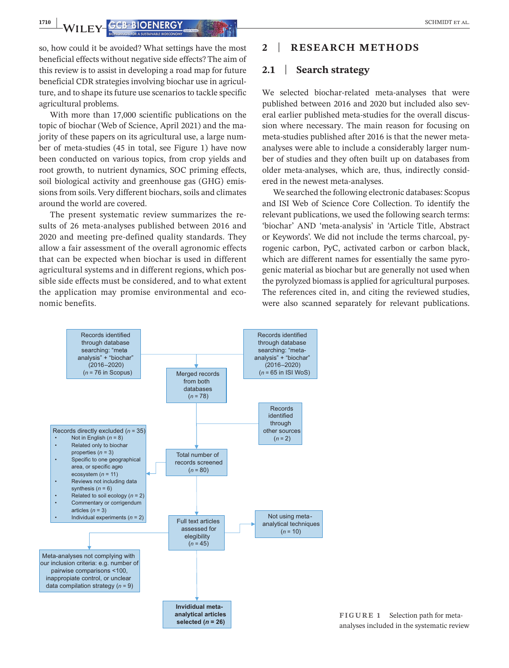**1710 WILEY-CCB-BIOENERGY AND AND AND AND ALL SCHMIDT ET AL.** 

so, how could it be avoided? What settings have the most beneficial effects without negative side effects? The aim of this review is to assist in developing a road map for future beneficial CDR strategies involving biochar use in agriculture, and to shape its future use scenarios to tackle specific agricultural problems.

With more than 17,000 scientific publications on the topic of biochar (Web of Science, April 2021) and the majority of these papers on its agricultural use, a large number of meta-studies (45 in total, see Figure 1) have now been conducted on various topics, from crop yields and root growth, to nutrient dynamics, SOC priming effects, soil biological activity and greenhouse gas (GHG) emissions from soils. Very different biochars, soils and climates around the world are covered.

The present systematic review summarizes the results of 26 meta-analyses published between 2016 and 2020 and meeting pre-defined quality standards. They allow a fair assessment of the overall agronomic effects that can be expected when biochar is used in different agricultural systems and in different regions, which possible side effects must be considered, and to what extent the application may promise environmental and economic benefits.

## **2** | **RESEARCH METHODS**

#### **2.1** | **Search strategy**

We selected biochar-related meta-analyses that were published between 2016 and 2020 but included also several earlier published meta-studies for the overall discussion where necessary. The main reason for focusing on meta-studies published after 2016 is that the newer metaanalyses were able to include a considerably larger number of studies and they often built up on databases from older meta-analyses, which are, thus, indirectly considered in the newest meta-analyses.

We searched the following electronic databases: Scopus and ISI Web of Science Core Collection. To identify the relevant publications, we used the following search terms: 'biochar' AND 'meta-analysis' in 'Article Title, Abstract or Keywords'. We did not include the terms charcoal, pyrogenic carbon, PyC, activated carbon or carbon black, which are different names for essentially the same pyrogenic material as biochar but are generally not used when the pyrolyzed biomass is applied for agricultural purposes. The references cited in, and citing the reviewed studies, were also scanned separately for relevant publications.



**FIGURE 1** Selection path for metaanalyses included in the systematic review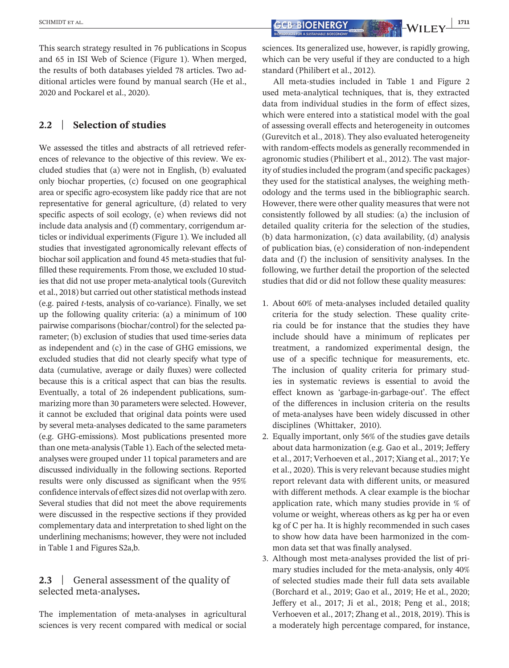This search strategy resulted in 76 publications in Scopus and 65 in ISI Web of Science (Figure 1). When merged, the results of both databases yielded 78 articles. Two additional articles were found by manual search (He et al., 2020 and Pockarel et al., 2020).

# **2.2** | **Selection of studies**

We assessed the titles and abstracts of all retrieved references of relevance to the objective of this review. We excluded studies that (a) were not in English, (b) evaluated only biochar properties, (c) focused on one geographical area or specific agro-ecosystem like paddy rice that are not representative for general agriculture, (d) related to very specific aspects of soil ecology, (e) when reviews did not include data analysis and (f) commentary, corrigendum articles or individual experiments (Figure 1). We included all studies that investigated agronomically relevant effects of biochar soil application and found 45 meta-studies that fulfilled these requirements. From those, we excluded 10 studies that did not use proper meta-analytical tools (Gurevitch et al., 2018) but carried out other statistical methods instead (e.g. paired *t*-tests, analysis of co-variance). Finally, we set up the following quality criteria: (a) a minimum of 100 pairwise comparisons (biochar/control) for the selected parameter; (b) exclusion of studies that used time-series data as independent and (c) in the case of GHG emissions, we excluded studies that did not clearly specify what type of data (cumulative, average or daily fluxes) were collected because this is a critical aspect that can bias the results. Eventually, a total of 26 independent publications, summarizing more than 30 parameters were selected. However, it cannot be excluded that original data points were used by several meta-analyses dedicated to the same parameters (e.g. GHG-emissions). Most publications presented more than one meta-analysis (Table 1). Each of the selected metaanalyses were grouped under 11 topical parameters and are discussed individually in the following sections. Reported results were only discussed as significant when the 95% confidence intervals of effect sizes did not overlap with zero. Several studies that did not meet the above requirements were discussed in the respective sections if they provided complementary data and interpretation to shed light on the underlining mechanisms; however, they were not included in Table 1 and Figures S2a,b.

# 2.3 **|** General assessment of the quality of selected meta-analyses**.**

The implementation of meta-analyses in agricultural sciences is very recent compared with medical or social sciences. Its generalized use, however, is rapidly growing, which can be very useful if they are conducted to a high standard (Philibert et al., 2012).

All meta-studies included in Table 1 and Figure 2 used meta-analytical techniques, that is, they extracted data from individual studies in the form of effect sizes, which were entered into a statistical model with the goal of assessing overall effects and heterogeneity in outcomes (Gurevitch et al., 2018). They also evaluated heterogeneity with random-effects models as generally recommended in agronomic studies (Philibert et al., 2012). The vast majority of studies included the program (and specific packages) they used for the statistical analyses, the weighing methodology and the terms used in the bibliographic search. However, there were other quality measures that were not consistently followed by all studies: (a) the inclusion of detailed quality criteria for the selection of the studies, (b) data harmonization, (c) data availability, (d) analysis of publication bias, (e) consideration of non-independent data and (f) the inclusion of sensitivity analyses. In the following, we further detail the proportion of the selected studies that did or did not follow these quality measures:

- 1. About 60% of meta-analyses included detailed quality criteria for the study selection. These quality criteria could be for instance that the studies they have include should have a minimum of replicates per treatment, a randomized experimental design, the use of a specific technique for measurements, etc. The inclusion of quality criteria for primary studies in systematic reviews is essential to avoid the effect known as 'garbage-in-garbage-out'. The effect of the differences in inclusion criteria on the results of meta-analyses have been widely discussed in other disciplines (Whittaker, 2010).
- 2. Equally important, only 56% of the studies gave details about data harmonization (e.g. Gao et al., 2019; Jeffery et al., 2017; Verhoeven et al., 2017; Xiang et al., 2017; Ye et al., 2020). This is very relevant because studies might report relevant data with different units, or measured with different methods. A clear example is the biochar application rate, which many studies provide in % of volume or weight, whereas others as kg per ha or even kg of C per ha. It is highly recommended in such cases to show how data have been harmonized in the common data set that was finally analysed.
- 3. Although most meta-analyses provided the list of primary studies included for the meta-analysis, only 40% of selected studies made their full data sets available (Borchard et al., 2019; Gao et al., 2019; He et al., 2020; Jeffery et al., 2017; Ji et al., 2018; Peng et al., 2018; Verhoeven et al., 2017; Zhang et al., 2018, 2019). This is a moderately high percentage compared, for instance,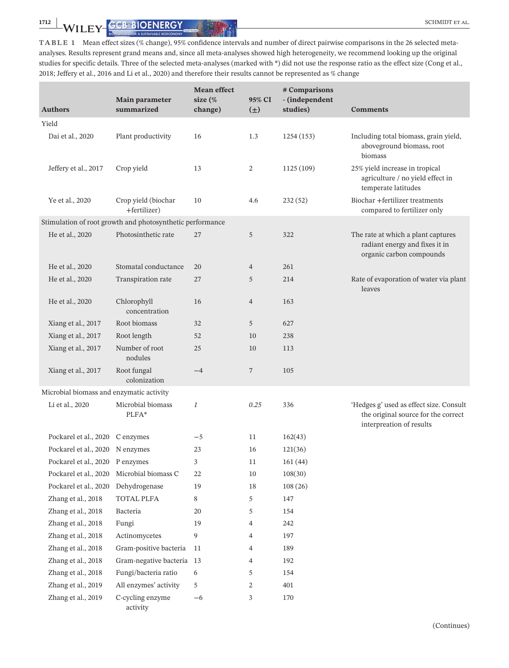**1712 ALLER CONSTRUCT ALL CONFIDENT CONSTRUCT CONSTRUCT ALL** CONTINUES ALL CONTINUES ALL CONTINUES ALL CONTINUES ALL CONTINUES ALL CONTINUES ALL CONTINUES ALL CONTINUES ALL CONTINUES ALL CONTINUES ALL CONTINUES ALL CON

**TABLE 1** Mean effect sizes (% change), 95% confidence intervals and number of direct pairwise comparisons in the 26 selected metaanalyses. Results represent grand means and, since all meta-analyses showed high heterogeneity, we recommend looking up the original studies for specific details. Three of the selected meta-analyses (marked with \*) did not use the response ratio as the effect size (Cong et al., 2018; Jeffery et al., 2016 and Li et al., 2020) and therefore their results cannot be represented as % change

|                                          | Main parameter                                            | <b>Mean effect</b><br>size $(\%$ | 95% CI         | # Comparisons<br>- (independent |                                                                                                            |
|------------------------------------------|-----------------------------------------------------------|----------------------------------|----------------|---------------------------------|------------------------------------------------------------------------------------------------------------|
| <b>Authors</b>                           | summarized                                                | change)                          | $(\pm)$        | studies)                        | <b>Comments</b>                                                                                            |
| Yield                                    |                                                           |                                  |                |                                 |                                                                                                            |
| Dai et al., 2020                         | Plant productivity                                        | 16                               | 1.3            | 1254 (153)                      | Including total biomass, grain yield,<br>aboveground biomass, root<br>biomass                              |
| Jeffery et al., 2017                     | Crop yield                                                | 13                               | 2              | 1125 (109)                      | 25% yield increase in tropical<br>agriculture / no yield effect in<br>temperate latitudes                  |
| Ye et al., 2020                          | Crop yield (biochar<br>+fertilizer)                       | 10                               | 4.6            | 232(52)                         | Biochar +fertilizer treatments<br>compared to fertilizer only                                              |
|                                          | Stimulation of root growth and photosynthetic performance |                                  |                |                                 |                                                                                                            |
| He et al., 2020                          | Photosinthetic rate                                       | 27                               | 5              | 322                             | The rate at which a plant captures<br>radiant energy and fixes it in<br>organic carbon compounds           |
| He et al., 2020                          | Stomatal conductance                                      | 20                               | 4              | 261                             |                                                                                                            |
| He et al., 2020                          | Transpiration rate                                        | 27                               | 5              | 214                             | Rate of evaporation of water via plant<br>leaves                                                           |
| He et al., 2020                          | Chlorophyll<br>concentration                              | 16                               | $\overline{4}$ | 163                             |                                                                                                            |
| Xiang et al., 2017                       | Root biomass                                              | 32                               | 5              | 627                             |                                                                                                            |
| Xiang et al., 2017                       | Root length                                               | 52                               | 10             | 238                             |                                                                                                            |
| Xiang et al., 2017                       | Number of root<br>nodules                                 | 25                               | 10             | 113                             |                                                                                                            |
| Xiang et al., 2017                       | Root fungal<br>colonization                               | $-4$                             | 7              | 105                             |                                                                                                            |
| Microbial biomass and enzymatic activity |                                                           |                                  |                |                                 |                                                                                                            |
| Li et al., 2020                          | Microbial biomass<br>PLFA*                                | $\mathfrak{1}$                   | 0.25           | 336                             | 'Hedges g' used as effect size. Consult<br>the original source for the correct<br>interpreation of results |
| Pockarel et al., 2020 C enzymes          |                                                           | $-5$                             | 11             | 162(43)                         |                                                                                                            |
| Pockarel et al., 2020 N enzymes          |                                                           | 23                               | 16             | 121(36)                         |                                                                                                            |
| Pockarel et al., 2020 P enzymes          |                                                           | 3                                | 11             | 161(44)                         |                                                                                                            |
| Pockarel et al., 2020                    | Microbial biomass C                                       | 22                               | 10             | 108(30)                         |                                                                                                            |
| Pockarel et al., 2020                    | Dehydrogenase                                             | 19                               | 18             | 108(26)                         |                                                                                                            |
| Zhang et al., 2018                       | <b>TOTAL PLFA</b>                                         | 8                                | 5              | 147                             |                                                                                                            |
| Zhang et al., 2018                       | Bacteria                                                  | 20                               | 5              | 154                             |                                                                                                            |
| Zhang et al., 2018                       | Fungi                                                     | 19                               | 4              | 242                             |                                                                                                            |
| Zhang et al., 2018                       | Actinomycetes                                             | 9                                | 4              | 197                             |                                                                                                            |
| Zhang et al., 2018                       | Gram-positive bacteria                                    | 11                               | 4              | 189                             |                                                                                                            |
| Zhang et al., 2018                       | Gram-negative bacteria 13                                 |                                  | 4              | 192                             |                                                                                                            |
| Zhang et al., 2018                       | Fungi/bacteria ratio                                      | 6                                | 5              | 154                             |                                                                                                            |
| Zhang et al., 2019                       | All enzymes' activity                                     | 5                                | 2              | 401                             |                                                                                                            |
| Zhang et al., 2019                       | C-cycling enzyme<br>activity                              | $-6$                             | 3              | 170                             |                                                                                                            |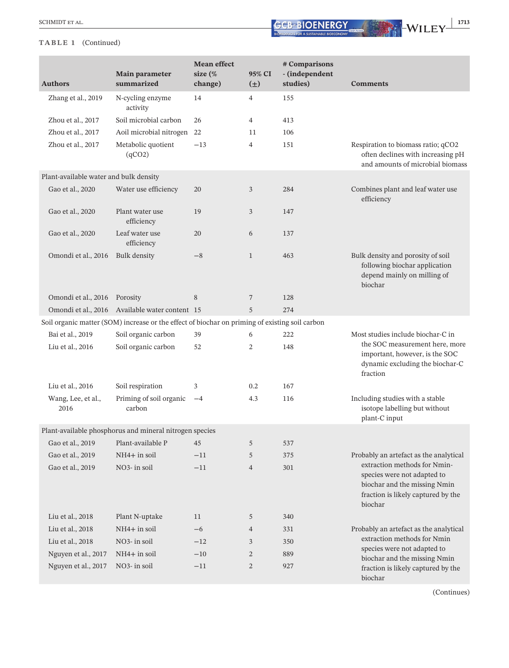#### **TABLE 1** (Continued)

| <b>Authors</b>                         | <b>Main parameter</b><br>summarized                                                            | <b>Mean effect</b><br>size $(\%$<br>change) | 95% CI<br>$(\pm)$ | # Comparisons<br>- (independent<br>studies) | <b>Comments</b>                                                                                                                              |
|----------------------------------------|------------------------------------------------------------------------------------------------|---------------------------------------------|-------------------|---------------------------------------------|----------------------------------------------------------------------------------------------------------------------------------------------|
| Zhang et al., 2019                     | N-cycling enzyme<br>activity                                                                   | 14                                          | $\overline{4}$    | 155                                         |                                                                                                                                              |
| Zhou et al., 2017                      | Soil microbial carbon                                                                          | 26                                          | 4                 | 413                                         |                                                                                                                                              |
| Zhou et al., 2017                      | Aoil microbial nitrogen                                                                        | 22                                          | 11                | 106                                         |                                                                                                                                              |
| Zhou et al., 2017                      | Metabolic quotient<br>(qCO <sub>2</sub> )                                                      | $-13$                                       | $\overline{4}$    | 151                                         | Respiration to biomass ratio; qCO2<br>often declines with increasing pH<br>and amounts of microbial biomass                                  |
| Plant-available water and bulk density |                                                                                                |                                             |                   |                                             |                                                                                                                                              |
| Gao et al., 2020                       | Water use efficiency                                                                           | 20                                          | 3                 | 284                                         | Combines plant and leaf water use<br>efficiency                                                                                              |
| Gao et al., 2020                       | Plant water use<br>efficiency                                                                  | 19                                          | 3                 | 147                                         |                                                                                                                                              |
| Gao et al., 2020                       | Leaf water use<br>efficiency                                                                   | 20                                          | 6                 | 137                                         |                                                                                                                                              |
| Omondi et al., 2016                    | Bulk density                                                                                   | $-8$                                        | $\mathbf{1}$      | 463                                         | Bulk density and porosity of soil<br>following biochar application<br>depend mainly on milling of<br>biochar                                 |
| Omondi et al., 2016                    | Porosity                                                                                       | 8                                           | $\overline{7}$    | 128                                         |                                                                                                                                              |
|                                        | Omondi et al., 2016 Available water content 15                                                 |                                             | 5                 | 274                                         |                                                                                                                                              |
|                                        | Soil organic matter (SOM) increase or the effect of biochar on priming of existing soil carbon |                                             |                   |                                             |                                                                                                                                              |
| Bai et al., 2019                       | Soil organic carbon                                                                            | 39                                          | 6                 | 222                                         | Most studies include biochar-C in                                                                                                            |
| Liu et al., 2016                       | Soil organic carbon                                                                            | 52                                          | 2                 | 148                                         | the SOC measurement here, more<br>important, however, is the SOC<br>dynamic excluding the biochar-C<br>fraction                              |
| Liu et al., 2016                       | Soil respiration                                                                               | 3                                           | 0.2               | 167                                         |                                                                                                                                              |
| Wang, Lee, et al.,<br>2016             | Priming of soil organic<br>carbon                                                              | $-4$                                        | 4.3               | 116                                         | Including studies with a stable<br>isotope labelling but without<br>plant-C input                                                            |
|                                        | Plant-available phosphorus and mineral nitrogen species                                        |                                             |                   |                                             |                                                                                                                                              |
| Gao et al., 2019                       | Plant-available P                                                                              | 45                                          | 5                 | 537                                         |                                                                                                                                              |
| Gao et al., 2019                       | NH4+ in soil                                                                                   | $-11$                                       | 5                 | 375                                         | Probably an artefact as the analytical                                                                                                       |
| Gao et al., 2019                       | NO3- in soil                                                                                   | $-11$                                       | $\overline{4}$    | 301                                         | extraction methods for Nmin-<br>species were not adapted to<br>biochar and the missing Nmin<br>fraction is likely captured by the<br>biochar |
| Liu et al., 2018                       | Plant N-uptake                                                                                 | 11                                          | 5                 | 340                                         |                                                                                                                                              |
| Liu et al., 2018                       | NH4+ in soil                                                                                   | $-6$                                        | 4                 | 331                                         | Probably an artefact as the analytical                                                                                                       |
| Liu et al., 2018                       | NO3- in soil                                                                                   | $-12$                                       | 3                 | 350                                         | extraction methods for Nmin<br>species were not adapted to                                                                                   |
| Nguyen et al., 2017                    | NH4+ in soil                                                                                   | $-10$                                       | $\overline{2}$    | 889                                         | biochar and the missing Nmin                                                                                                                 |
| Nguyen et al., 2017                    | NO3- in soil                                                                                   | $-11$                                       | $\overline{c}$    | 927                                         | fraction is likely captured by the<br>biochar                                                                                                |

(Continues)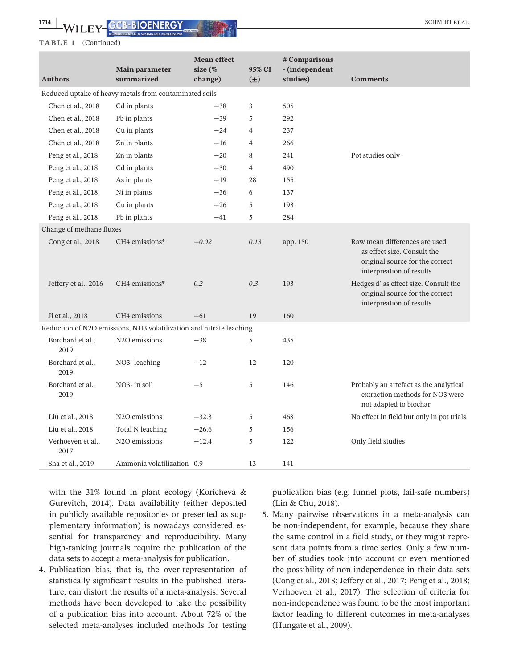| <b>Authors</b>                                                      | Main parameter<br>summarized                           | <b>Mean effect</b><br>size $(\%$<br>change) | 95% CI<br>$(\pm)$ | # Comparisons<br>- (independent<br>studies) | <b>Comments</b>                                                                                                             |  |  |
|---------------------------------------------------------------------|--------------------------------------------------------|---------------------------------------------|-------------------|---------------------------------------------|-----------------------------------------------------------------------------------------------------------------------------|--|--|
|                                                                     | Reduced uptake of heavy metals from contaminated soils |                                             |                   |                                             |                                                                                                                             |  |  |
| Chen et al., 2018                                                   | Cd in plants                                           | $-38$                                       | 3                 | 505                                         |                                                                                                                             |  |  |
| Chen et al., 2018                                                   | Pb in plants                                           | $-39$                                       | 5                 | 292                                         |                                                                                                                             |  |  |
| Chen et al., 2018                                                   | Cu in plants                                           | $-24$                                       | $\overline{4}$    | 237                                         |                                                                                                                             |  |  |
| Chen et al., 2018                                                   | Zn in plants                                           | $-16$                                       | $\overline{4}$    | 266                                         |                                                                                                                             |  |  |
| Peng et al., 2018                                                   | Zn in plants                                           | $-20$                                       | 8                 | 241                                         | Pot studies only                                                                                                            |  |  |
| Peng et al., 2018                                                   | Cd in plants                                           | $-30$                                       | $\overline{4}$    | 490                                         |                                                                                                                             |  |  |
| Peng et al., 2018                                                   | As in plants                                           | $-19$                                       | 28                | 155                                         |                                                                                                                             |  |  |
| Peng et al., 2018                                                   | Ni in plants                                           | $-36$                                       | 6                 | 137                                         |                                                                                                                             |  |  |
| Peng et al., 2018                                                   | Cu in plants                                           | $-26$                                       | 5                 | 193                                         |                                                                                                                             |  |  |
| Peng et al., 2018                                                   | Pb in plants                                           | $-41$                                       | 5                 | 284                                         |                                                                                                                             |  |  |
| Change of methane fluxes                                            |                                                        |                                             |                   |                                             |                                                                                                                             |  |  |
| Cong et al., 2018                                                   | CH4 emissions*                                         | $-0.02$                                     | 0.13              | app. 150                                    | Raw mean differences are used<br>as effect size. Consult the<br>original source for the correct<br>interpreation of results |  |  |
| Jeffery et al., 2016                                                | CH4 emissions*                                         | 0.2                                         | 0.3               | 193                                         | Hedges d'as effect size. Consult the<br>original source for the correct<br>interpreation of results                         |  |  |
| Ji et al., 2018                                                     | CH4 emissions                                          | $-61$                                       | 19                | 160                                         |                                                                                                                             |  |  |
| Reduction of N2O emissions, NH3 volatilization and nitrate leaching |                                                        |                                             |                   |                                             |                                                                                                                             |  |  |
| Borchard et al.,<br>2019                                            | N <sub>2</sub> O emissions                             | $-38$                                       | 5                 | 435                                         |                                                                                                                             |  |  |
| Borchard et al.,<br>2019                                            | NO3-leaching                                           | $-12$                                       | 12                | 120                                         |                                                                                                                             |  |  |
| Borchard et al.,<br>2019                                            | NO <sub>3</sub> - in soil                              | $-5$                                        | 5                 | 146                                         | Probably an artefact as the analytical<br>extraction methods for NO3 were<br>not adapted to biochar                         |  |  |
| Liu et al., 2018                                                    | N <sub>2</sub> O emissions                             | $-32.3$                                     | 5                 | 468                                         | No effect in field but only in pot trials                                                                                   |  |  |
| Liu et al., 2018                                                    | Total N leaching                                       | $-26.6$                                     | 5                 | 156                                         |                                                                                                                             |  |  |
| Verhoeven et al.,<br>2017                                           | N <sub>2</sub> O emissions                             | $-12.4$                                     | 5                 | 122                                         | Only field studies                                                                                                          |  |  |
| Sha et al., 2019                                                    | Ammonia volatilization 0.9                             |                                             | 13                | 141                                         |                                                                                                                             |  |  |

with the 31% found in plant ecology (Koricheva & Gurevitch, 2014). Data availability (either deposited in publicly available repositories or presented as supplementary information) is nowadays considered essential for transparency and reproducibility. Many high-ranking journals require the publication of the data sets to accept a meta-analysis for publication.

4. Publication bias, that is, the over-representation of statistically significant results in the published literature, can distort the results of a meta-analysis. Several methods have been developed to take the possibility of a publication bias into account. About 72% of the selected meta-analyses included methods for testing

publication bias (e.g. funnel plots, fail-safe numbers) (Lin & Chu, 2018).

5. Many pairwise observations in a meta-analysis can be non-independent, for example, because they share the same control in a field study, or they might represent data points from a time series. Only a few number of studies took into account or even mentioned the possibility of non-independence in their data sets (Cong et al., 2018; Jeffery et al., 2017; Peng et al., 2018; Verhoeven et al., 2017). The selection of criteria for non-independence was found to be the most important factor leading to different outcomes in meta-analyses (Hungate et al., 2009).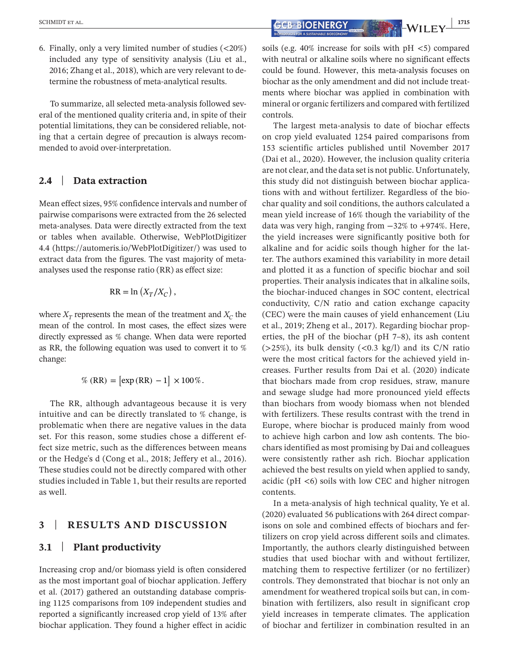6. Finally, only a very limited number of studies  $\left( \langle 20\% \rangle \right)$ included any type of sensitivity analysis (Liu et al., 2016; Zhang et al., 2018), which are very relevant to determine the robustness of meta-analytical results.

To summarize, all selected meta-analysis followed several of the mentioned quality criteria and, in spite of their potential limitations, they can be considered reliable, noting that a certain degree of precaution is always recommended to avoid over-interpretation.

## **2.4** | **Data extraction**

Mean effect sizes, 95% confidence intervals and number of pairwise comparisons were extracted from the 26 selected meta-analyses. Data were directly extracted from the text or tables when available. Otherwise, WebPlotDigitizer 4.4 (<https://automeris.io/WebPlotDigitizer/>) was used to extract data from the figures. The vast majority of metaanalyses used the response ratio (RR) as effect size:

$$
RR = \ln(X_T/X_C),
$$

where  $X_T$  represents the mean of the treatment and  $X_C$  the mean of the control. In most cases, the effect sizes were directly expressed as % change. When data were reported as RR, the following equation was used to convert it to % change:

$$
\% (RR) = [\exp(RR) - 1] \times 100\%.
$$

The RR, although advantageous because it is very intuitive and can be directly translated to % change, is problematic when there are negative values in the data set. For this reason, some studies chose a different effect size metric, such as the differences between means or the Hedge's d (Cong et al., 2018; Jeffery et al., 2016). These studies could not be directly compared with other studies included in Table 1, but their results are reported as well.

## **3** | **RESULTS AND DISCUSSION**

#### **3.1** | **Plant productivity**

Increasing crop and/or biomass yield is often considered as the most important goal of biochar application. Jeffery et al. (2017) gathered an outstanding database comprising 1125 comparisons from 109 independent studies and reported a significantly increased crop yield of 13% after biochar application. They found a higher effect in acidic soils (e.g.  $40\%$  increase for soils with  $pH \leq 5$ ) compared with neutral or alkaline soils where no significant effects could be found. However, this meta-analysis focuses on biochar as the only amendment and did not include treatments where biochar was applied in combination with mineral or organic fertilizers and compared with fertilized controls.

The largest meta-analysis to date of biochar effects on crop yield evaluated 1254 paired comparisons from 153 scientific articles published until November 2017 (Dai et al., 2020). However, the inclusion quality criteria are not clear, and the data set is not public. Unfortunately, this study did not distinguish between biochar applications with and without fertilizer. Regardless of the biochar quality and soil conditions, the authors calculated a mean yield increase of 16% though the variability of the data was very high, ranging from −32% to +974%. Here, the yield increases were significantly positive both for alkaline and for acidic soils though higher for the latter. The authors examined this variability in more detail and plotted it as a function of specific biochar and soil properties. Their analysis indicates that in alkaline soils, the biochar-induced changes in SOC content, electrical conductivity, C/N ratio and cation exchange capacity (CEC) were the main causes of yield enhancement (Liu et al., 2019; Zheng et al., 2017). Regarding biochar properties, the pH of the biochar (pH 7–8), its ash content  $(>25\%)$ , its bulk density  $(<0.3 \text{ kg/l})$  and its C/N ratio were the most critical factors for the achieved yield increases. Further results from Dai et al. (2020) indicate that biochars made from crop residues, straw, manure and sewage sludge had more pronounced yield effects than biochars from woody biomass when not blended with fertilizers. These results contrast with the trend in Europe, where biochar is produced mainly from wood to achieve high carbon and low ash contents. The biochars identified as most promising by Dai and colleagues were consistently rather ash rich. Biochar application achieved the best results on yield when applied to sandy, acidic ( $pH < 6$ ) soils with low CEC and higher nitrogen contents.

In a meta-analysis of high technical quality, Ye et al. (2020) evaluated 56 publications with 264 direct comparisons on sole and combined effects of biochars and fertilizers on crop yield across different soils and climates. Importantly, the authors clearly distinguished between studies that used biochar with and without fertilizer, matching them to respective fertilizer (or no fertilizer) controls. They demonstrated that biochar is not only an amendment for weathered tropical soils but can, in combination with fertilizers, also result in significant crop yield increases in temperate climates. The application of biochar and fertilizer in combination resulted in an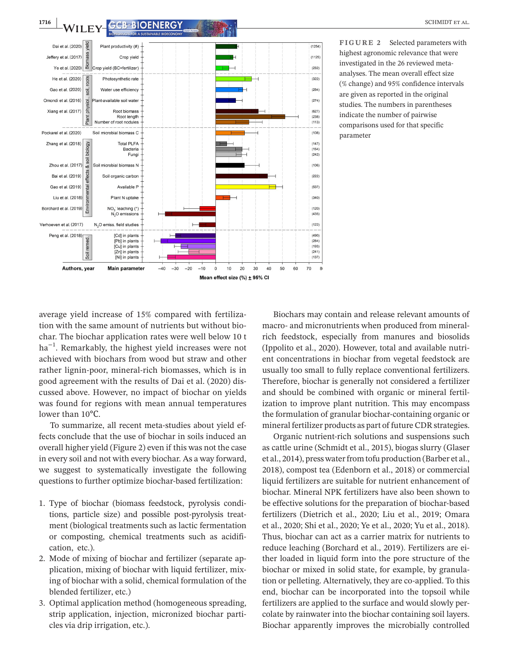

**FIGURE 2** Selected parameters with highest agronomic relevance that were investigated in the 26 reviewed metaanalyses. The mean overall effect size (% change) and 95% confidence intervals are given as reported in the original studies. The numbers in parentheses indicate the number of pairwise comparisons used for that specific parameter



average yield increase of 15% compared with fertilization with the same amount of nutrients but without biochar. The biochar application rates were well below 10 t  $ha^{-1}$ . Remarkably, the highest yield increases were not achieved with biochars from wood but straw and other rather lignin-poor, mineral-rich biomasses, which is in good agreement with the results of Dai et al. (2020) discussed above. However, no impact of biochar on yields was found for regions with mean annual temperatures lower than 10℃.

To summarize, all recent meta-studies about yield effects conclude that the use of biochar in soils induced an overall higher yield (Figure 2) even if this was not the case in every soil and not with every biochar. As a way forward, we suggest to systematically investigate the following questions to further optimize biochar-based fertilization:

- 1. Type of biochar (biomass feedstock, pyrolysis conditions, particle size) and possible post-pyrolysis treatment (biological treatments such as lactic fermentation or composting, chemical treatments such as acidification, etc.).
- 2. Mode of mixing of biochar and fertilizer (separate application, mixing of biochar with liquid fertilizer, mixing of biochar with a solid, chemical formulation of the blended fertilizer, etc.)
- 3. Optimal application method (homogeneous spreading, strip application, injection, micronized biochar particles via drip irrigation, etc.).

Biochars may contain and release relevant amounts of macro- and micronutrients when produced from mineralrich feedstock, especially from manures and biosolids (Ippolito et al., 2020). However, total and available nutrient concentrations in biochar from vegetal feedstock are usually too small to fully replace conventional fertilizers. Therefore, biochar is generally not considered a fertilizer and should be combined with organic or mineral fertilization to improve plant nutrition. This may encompass the formulation of granular biochar-containing organic or mineral fertilizer products as part of future CDR strategies.

Organic nutrient-rich solutions and suspensions such as cattle urine (Schmidt et al., 2015), biogas slurry (Glaser et al., 2014), press water from tofu production (Barber et al., 2018), compost tea (Edenborn et al., 2018) or commercial liquid fertilizers are suitable for nutrient enhancement of biochar. Mineral NPK fertilizers have also been shown to be effective solutions for the preparation of biochar-based fertilizers (Dietrich et al., 2020; Liu et al., 2019; Omara et al., 2020; Shi et al., 2020; Ye et al., 2020; Yu et al., 2018). Thus, biochar can act as a carrier matrix for nutrients to reduce leaching (Borchard et al., 2019). Fertilizers are either loaded in liquid form into the pore structure of the biochar or mixed in solid state, for example, by granulation or pelleting. Alternatively, they are co-applied. To this end, biochar can be incorporated into the topsoil while fertilizers are applied to the surface and would slowly percolate by rainwater into the biochar containing soil layers. Biochar apparently improves the microbially controlled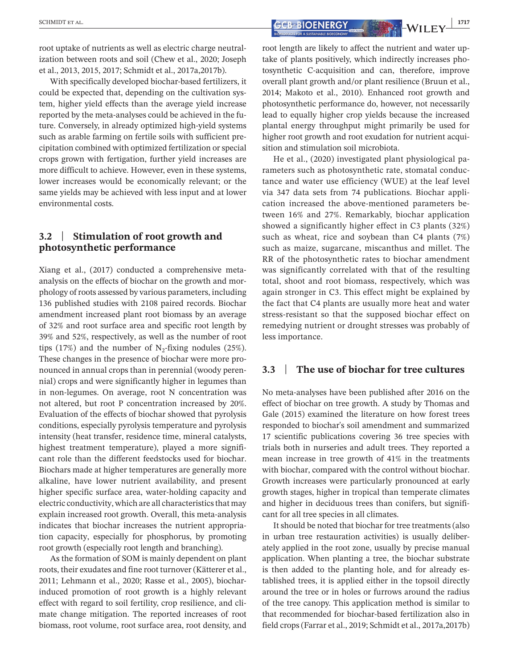root uptake of nutrients as well as electric charge neutralization between roots and soil (Chew et al., 2020; Joseph et al., 2013, 2015, 2017; Schmidt et al., 2017a,2017b).

With specifically developed biochar-based fertilizers, it could be expected that, depending on the cultivation system, higher yield effects than the average yield increase reported by the meta-analyses could be achieved in the future. Conversely, in already optimized high-yield systems such as arable farming on fertile soils with sufficient precipitation combined with optimized fertilization or special crops grown with fertigation, further yield increases are more difficult to achieve. However, even in these systems, lower increases would be economically relevant; or the same yields may be achieved with less input and at lower environmental costs.

## **3.2** | **Stimulation of root growth and photosynthetic performance**

Xiang et al., (2017) conducted a comprehensive metaanalysis on the effects of biochar on the growth and morphology of roots assessed by various parameters, including 136 published studies with 2108 paired records. Biochar amendment increased plant root biomass by an average of 32% and root surface area and specific root length by 39% and 52%, respectively, as well as the number of root tips (17%) and the number of  $N_2$ -fixing nodules (25%). These changes in the presence of biochar were more pronounced in annual crops than in perennial (woody perennial) crops and were significantly higher in legumes than in non-legumes. On average, root N concentration was not altered, but root P concentration increased by 20%. Evaluation of the effects of biochar showed that pyrolysis conditions, especially pyrolysis temperature and pyrolysis intensity (heat transfer, residence time, mineral catalysts, highest treatment temperature), played a more significant role than the different feedstocks used for biochar. Biochars made at higher temperatures are generally more alkaline, have lower nutrient availability, and present higher specific surface area, water-holding capacity and electric conductivity, which are all characteristics that may explain increased root growth. Overall, this meta-analysis indicates that biochar increases the nutrient appropriation capacity, especially for phosphorus, by promoting root growth (especially root length and branching).

As the formation of SOM is mainly dependent on plant roots, their exudates and fine root turnover (Kätterer et al., 2011; Lehmann et al., 2020; Rasse et al., 2005), biocharinduced promotion of root growth is a highly relevant effect with regard to soil fertility, crop resilience, and climate change mitigation. The reported increases of root biomass, root volume, root surface area, root density, and root length are likely to affect the nutrient and water uptake of plants positively, which indirectly increases photosynthetic C-acquisition and can, therefore, improve overall plant growth and/or plant resilience (Bruun et al., 2014; Makoto et al., 2010). Enhanced root growth and photosynthetic performance do, however, not necessarily lead to equally higher crop yields because the increased plantal energy throughput might primarily be used for higher root growth and root exudation for nutrient acquisition and stimulation soil microbiota.

He et al., (2020) investigated plant physiological parameters such as photosynthetic rate, stomatal conductance and water use efficiency (WUE) at the leaf level via 347 data sets from 74 publications. Biochar application increased the above-mentioned parameters between 16% and 27%. Remarkably, biochar application showed a significantly higher effect in C3 plants (32%) such as wheat, rice and soybean than C4 plants (7%) such as maize, sugarcane, miscanthus and millet. The RR of the photosynthetic rates to biochar amendment was significantly correlated with that of the resulting total, shoot and root biomass, respectively, which was again stronger in C3. This effect might be explained by the fact that C4 plants are usually more heat and water stress-resistant so that the supposed biochar effect on remedying nutrient or drought stresses was probably of less importance.

# **3.3** | **The use of biochar for tree cultures**

No meta-analyses have been published after 2016 on the effect of biochar on tree growth. A study by Thomas and Gale (2015) examined the literature on how forest trees responded to biochar's soil amendment and summarized 17 scientific publications covering 36 tree species with trials both in nurseries and adult trees. They reported a mean increase in tree growth of 41% in the treatments with biochar, compared with the control without biochar. Growth increases were particularly pronounced at early growth stages, higher in tropical than temperate climates and higher in deciduous trees than conifers, but significant for all tree species in all climates.

It should be noted that biochar for tree treatments (also in urban tree restauration activities) is usually deliberately applied in the root zone, usually by precise manual application. When planting a tree, the biochar substrate is then added to the planting hole, and for already established trees, it is applied either in the topsoil directly around the tree or in holes or furrows around the radius of the tree canopy. This application method is similar to that recommended for biochar-based fertilization also in field crops (Farrar et al., 2019; Schmidt et al., 2017a,2017b)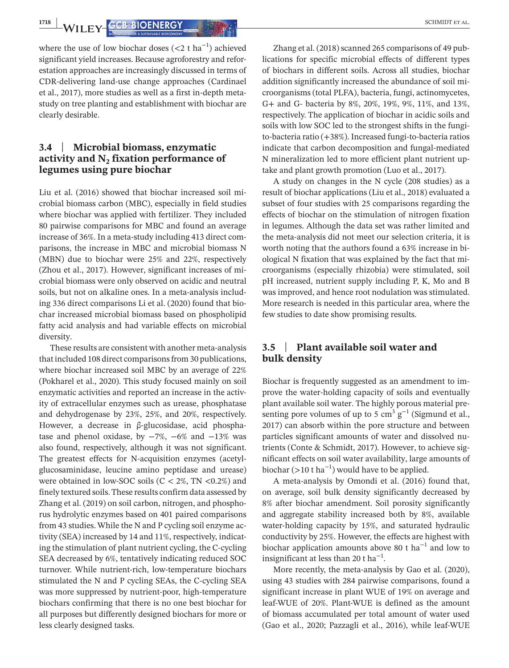**1718** WILEY-CCB-BIOENERGY AND RESERVED BY A REPORT OF ALL CONDITIONS OF ALL CONDITIONS OF ALL CONDITIONS OF ALL CONDITIONS OF ALL CONDITIONS OF ALL CONDITIONS OF ALL CONDITIONS OF ALL CONDITIONS OF ALL CONDITIONS OF ALL C

where the use of low biochar doses  $(< 2 t \text{ ha}^{-1})$  achieved significant yield increases. Because agroforestry and reforestation approaches are increasingly discussed in terms of CDR-delivering land-use change approaches (Cardinael et al., 2017), more studies as well as a first in-depth metastudy on tree planting and establishment with biochar are clearly desirable.

#### **3.4** | **Microbial biomass, enzymatic**  activity and  $N_2$  fixation performance of **legumes using pure biochar**

Liu et al. (2016) showed that biochar increased soil microbial biomass carbon (MBC), especially in field studies where biochar was applied with fertilizer. They included 80 pairwise comparisons for MBC and found an average increase of 36%. In a meta-study including 413 direct comparisons, the increase in MBC and microbial biomass N (MBN) due to biochar were 25% and 22%, respectively (Zhou et al., 2017). However, significant increases of microbial biomass were only observed on acidic and neutral soils, but not on alkaline ones. In a meta-analysis including 336 direct comparisons Li et al. (2020) found that biochar increased microbial biomass based on phospholipid fatty acid analysis and had variable effects on microbial diversity.

These results are consistent with another meta-analysis that included 108 direct comparisons from 30 publications, where biochar increased soil MBC by an average of 22% (Pokharel et al., 2020). This study focused mainly on soil enzymatic activities and reported an increase in the activity of extracellular enzymes such as urease, phosphatase and dehydrogenase by 23%, 25%, and 20%, respectively. However, a decrease in β-glucosidase, acid phosphatase and phenol oxidase, by  $-7\%$ ,  $-6\%$  and  $-13\%$  was also found, respectively, although it was not significant. The greatest effects for N-acquisition enzymes (acetylglucosaminidase, leucine amino peptidase and urease) were obtained in low-SOC soils  $(C < 2\%, TN < 0.2\%)$  and finely textured soils. These results confirm data assessed by Zhang et al. (2019) on soil carbon, nitrogen, and phosphorus hydrolytic enzymes based on 401 paired comparisons from 43 studies. While the N and P cycling soil enzyme activity (SEA) increased by 14 and 11%, respectively, indicating the stimulation of plant nutrient cycling, the C-cycling SEA decreased by 6%, tentatively indicating reduced SOC turnover. While nutrient-rich, low-temperature biochars stimulated the N and P cycling SEAs, the C-cycling SEA was more suppressed by nutrient-poor, high-temperature biochars confirming that there is no one best biochar for all purposes but differently designed biochars for more or less clearly designed tasks.

Zhang et al. (2018) scanned 265 comparisons of 49 publications for specific microbial effects of different types of biochars in different soils. Across all studies, biochar addition significantly increased the abundance of soil microorganisms (total PLFA), bacteria, fungi, actinomycetes, G+ and G- bacteria by 8%, 20%, 19%, 9%, 11%, and 13%, respectively. The application of biochar in acidic soils and soils with low SOC led to the strongest shifts in the fungito-bacteria ratio (+38%). Increased fungi-to-bacteria ratios indicate that carbon decomposition and fungal-mediated N mineralization led to more efficient plant nutrient uptake and plant growth promotion (Luo et al., 2017).

A study on changes in the N cycle (208 studies) as a result of biochar applications (Liu et al., 2018) evaluated a subset of four studies with 25 comparisons regarding the effects of biochar on the stimulation of nitrogen fixation in legumes. Although the data set was rather limited and the meta-analysis did not meet our selection criteria, it is worth noting that the authors found a 63% increase in biological N fixation that was explained by the fact that microorganisms (especially rhizobia) were stimulated, soil pH increased, nutrient supply including P, K, Mo and B was improved, and hence root nodulation was stimulated. More research is needed in this particular area, where the few studies to date show promising results.

#### **3.5** | **Plant available soil water and bulk density**

Biochar is frequently suggested as an amendment to improve the water-holding capacity of soils and eventually plant available soil water. The highly porous material presenting pore volumes of up to 5 cm<sup>3</sup>  $g^{-1}$  (Sigmund et al., 2017) can absorb within the pore structure and between particles significant amounts of water and dissolved nutrients (Conte & Schmidt, 2017). However, to achieve significant effects on soil water availability, large amounts of biochar (>10 t ha<sup>-1</sup>) would have to be applied.

A meta-analysis by Omondi et al. (2016) found that, on average, soil bulk density significantly decreased by 8% after biochar amendment. Soil porosity significantly and aggregate stability increased both by 8%, available water-holding capacity by 15%, and saturated hydraulic conductivity by 25%. However, the effects are highest with biochar application amounts above 80 t ha−1 and low to insignificant at less than 20 t ha<sup> $-1$ </sup>.

More recently, the meta-analysis by Gao et al. (2020), using 43 studies with 284 pairwise comparisons, found a significant increase in plant WUE of 19% on average and leaf-WUE of 20%. Plant-WUE is defined as the amount of biomass accumulated per total amount of water used (Gao et al., 2020; Pazzagli et al., 2016), while leaf-WUE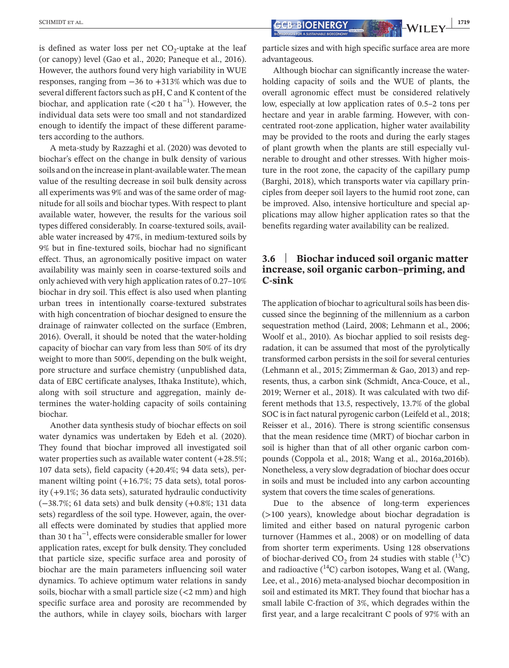is defined as water loss per net  $CO_2$ -uptake at the leaf (or canopy) level (Gao et al., 2020; Paneque et al., 2016). However, the authors found very high variability in WUE responses, ranging from −36 to +313% which was due to several different factors such as pH, C and K content of the biochar, and application rate ( $\lt 20$  t ha<sup>-1</sup>). However, the individual data sets were too small and not standardized enough to identify the impact of these different parameters according to the authors.

A meta-study by Razzaghi et al. (2020) was devoted to biochar's effect on the change in bulk density of various soils and on the increase in plant-available water. The mean value of the resulting decrease in soil bulk density across all experiments was 9% and was of the same order of magnitude for all soils and biochar types. With respect to plant available water, however, the results for the various soil types differed considerably. In coarse-textured soils, available water increased by 47%, in medium-textured soils by 9% but in fine-textured soils, biochar had no significant effect. Thus, an agronomically positive impact on water availability was mainly seen in coarse-textured soils and only achieved with very high application rates of 0.27–10% biochar in dry soil. This effect is also used when planting urban trees in intentionally coarse-textured substrates with high concentration of biochar designed to ensure the drainage of rainwater collected on the surface (Embren, 2016). Overall, it should be noted that the water-holding capacity of biochar can vary from less than 50% of its dry weight to more than 500%, depending on the bulk weight, pore structure and surface chemistry (unpublished data, data of EBC certificate analyses, Ithaka Institute), which, along with soil structure and aggregation, mainly determines the water-holding capacity of soils containing biochar.

Another data synthesis study of biochar effects on soil water dynamics was undertaken by Edeh et al. (2020). They found that biochar improved all investigated soil water properties such as available water content  $(+28.5\%;$ 107 data sets), field capacity (+20.4%; 94 data sets), permanent wilting point (+16.7%; 75 data sets), total porosity (+9.1%; 36 data sets), saturated hydraulic conductivity (−38.7%; 61 data sets) and bulk density (+0.8%; 131 data sets) regardless of the soil type. However, again, the overall effects were dominated by studies that applied more than 30 t ha<sup> $-1$ </sup>, effects were considerable smaller for lower application rates, except for bulk density. They concluded that particle size, specific surface area and porosity of biochar are the main parameters influencing soil water dynamics. To achieve optimum water relations in sandy soils, biochar with a small particle size  $(<$ 2 mm) and high specific surface area and porosity are recommended by the authors, while in clayey soils, biochars with larger

particle sizes and with high specific surface area are more advantageous.

Although biochar can significantly increase the waterholding capacity of soils and the WUE of plants, the overall agronomic effect must be considered relatively low, especially at low application rates of 0.5–2 tons per hectare and year in arable farming. However, with concentrated root-zone application, higher water availability may be provided to the roots and during the early stages of plant growth when the plants are still especially vulnerable to drought and other stresses. With higher moisture in the root zone, the capacity of the capillary pump (Barghi, 2018), which transports water via capillary principles from deeper soil layers to the humid root zone, can be improved. Also, intensive horticulture and special applications may allow higher application rates so that the benefits regarding water availability can be realized.

## **3.6** | **Biochar induced soil organic matter increase, soil organic carbon–priming, and C-sink**

The application of biochar to agricultural soils has been discussed since the beginning of the millennium as a carbon sequestration method (Laird, 2008; Lehmann et al., 2006; Woolf et al., 2010). As biochar applied to soil resists degradation, it can be assumed that most of the pyrolytically transformed carbon persists in the soil for several centuries (Lehmann et al., 2015; Zimmerman & Gao, 2013) and represents, thus, a carbon sink (Schmidt, Anca-Couce, et al., 2019; Werner et al., 2018). It was calculated with two different methods that 13.5, respectively, 13.7% of the global SOC is in fact natural pyrogenic carbon (Leifeld et al., 2018; Reisser et al., 2016). There is strong scientific consensus that the mean residence time (MRT) of biochar carbon in soil is higher than that of all other organic carbon compounds (Coppola et al., 2018; Wang et al., 2016a,2016b). Nonetheless, a very slow degradation of biochar does occur in soils and must be included into any carbon accounting system that covers the time scales of generations.

Due to the absence of long-term experiences (>100 years), knowledge about biochar degradation is limited and either based on natural pyrogenic carbon turnover (Hammes et al., 2008) or on modelling of data from shorter term experiments. Using 128 observations of biochar-derived  $CO_2$  from 24 studies with stable (<sup>13</sup>C) and radioactive  $(^{14}C)$  carbon isotopes, Wang et al. (Wang, Lee, et al., 2016) meta-analysed biochar decomposition in soil and estimated its MRT. They found that biochar has a small labile C-fraction of 3%, which degrades within the first year, and a large recalcitrant C pools of 97% with an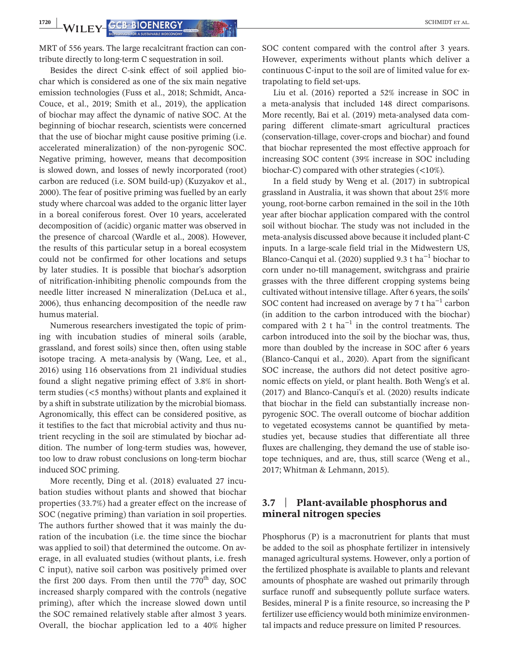**1720 WILEY-CCB-BIOENERGY ANDEREGY EXECUTED SCHMIDT ET AL.** 

MRT of 556 years. The large recalcitrant fraction can contribute directly to long-term C sequestration in soil.

Besides the direct C-sink effect of soil applied biochar which is considered as one of the six main negative emission technologies (Fuss et al., 2018; Schmidt, Anca-Couce, et al., 2019; Smith et al., 2019), the application of biochar may affect the dynamic of native SOC. At the beginning of biochar research, scientists were concerned that the use of biochar might cause positive priming (i.e. accelerated mineralization) of the non-pyrogenic SOC. Negative priming, however, means that decomposition is slowed down, and losses of newly incorporated (root) carbon are reduced (i.e. SOM build-up) (Kuzyakov et al., 2000). The fear of positive priming was fuelled by an early study where charcoal was added to the organic litter layer in a boreal coniferous forest. Over 10 years, accelerated decomposition of (acidic) organic matter was observed in the presence of charcoal (Wardle et al., 2008). However, the results of this particular setup in a boreal ecosystem could not be confirmed for other locations and setups by later studies. It is possible that biochar's adsorption of nitrification-inhibiting phenolic compounds from the needle litter increased N mineralization (DeLuca et al., 2006), thus enhancing decomposition of the needle raw humus material.

Numerous researchers investigated the topic of priming with incubation studies of mineral soils (arable, grassland, and forest soils) since then, often using stable isotope tracing. A meta-analysis by (Wang, Lee, et al., 2016) using 116 observations from 21 individual studies found a slight negative priming effect of 3.8% in shortterm studies (<5 months) without plants and explained it by a shift in substrate utilization by the microbial biomass. Agronomically, this effect can be considered positive, as it testifies to the fact that microbial activity and thus nutrient recycling in the soil are stimulated by biochar addition. The number of long-term studies was, however, too low to draw robust conclusions on long-term biochar induced SOC priming.

More recently, Ding et al. (2018) evaluated 27 incubation studies without plants and showed that biochar properties (33.7%) had a greater effect on the increase of SOC (negative priming) than variation in soil properties. The authors further showed that it was mainly the duration of the incubation (i.e. the time since the biochar was applied to soil) that determined the outcome. On average, in all evaluated studies (without plants, i.e. fresh C input), native soil carbon was positively primed over the first 200 days. From then until the  $770<sup>th</sup>$  day, SOC increased sharply compared with the controls (negative priming), after which the increase slowed down until the SOC remained relatively stable after almost 3 years. Overall, the biochar application led to a 40% higher SOC content compared with the control after 3 years. However, experiments without plants which deliver a continuous C-input to the soil are of limited value for extrapolating to field set-ups.

Liu et al. (2016) reported a 52% increase in SOC in a meta-analysis that included 148 direct comparisons. More recently, Bai et al. (2019) meta-analysed data comparing different climate-smart agricultural practices (conservation-tillage, cover-crops and biochar) and found that biochar represented the most effective approach for increasing SOC content (39% increase in SOC including biochar-C) compared with other strategies (<10%).

In a field study by Weng et al. (2017) in subtropical grassland in Australia, it was shown that about 25% more young, root-borne carbon remained in the soil in the 10th year after biochar application compared with the control soil without biochar. The study was not included in the meta-analysis discussed above because it included plant-C inputs. In a large-scale field trial in the Midwestern US, Blanco-Canqui et al. (2020) supplied 9.3 t ha<sup>-1</sup> biochar to corn under no-till management, switchgrass and prairie grasses with the three different cropping systems being cultivated without intensive tillage. After 6 years, the soils' SOC content had increased on average by 7 t ha<sup> $-1$ </sup> carbon (in addition to the carbon introduced with the biochar) compared with 2  $t$  ha<sup> $-1$ </sup> in the control treatments. The carbon introduced into the soil by the biochar was, thus, more than doubled by the increase in SOC after 6 years (Blanco-Canqui et al., 2020). Apart from the significant SOC increase, the authors did not detect positive agronomic effects on yield, or plant health. Both Weng's et al. (2017) and Blanco-Canqui's et al. (2020) results indicate that biochar in the field can substantially increase nonpyrogenic SOC. The overall outcome of biochar addition to vegetated ecosystems cannot be quantified by metastudies yet, because studies that differentiate all three fluxes are challenging, they demand the use of stable isotope techniques, and are, thus, still scarce (Weng et al., 2017; Whitman & Lehmann, 2015).

#### **3.7** | **Plant-available phosphorus and mineral nitrogen species**

Phosphorus (P) is a macronutrient for plants that must be added to the soil as phosphate fertilizer in intensively managed agricultural systems. However, only a portion of the fertilized phosphate is available to plants and relevant amounts of phosphate are washed out primarily through surface runoff and subsequently pollute surface waters. Besides, mineral P is a finite resource, so increasing the P fertilizer use efficiency would both minimize environmental impacts and reduce pressure on limited P resources.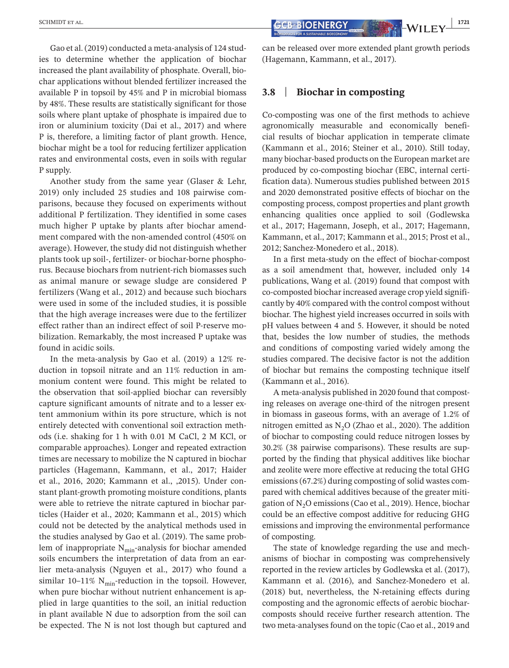can be released over more extended plant growth periods (Hagemann, Kammann, et al., 2017).

#### **3.8** | **Biochar in composting**

Co-composting was one of the first methods to achieve agronomically measurable and economically beneficial results of biochar application in temperate climate (Kammann et al., 2016; Steiner et al., 2010). Still today, many biochar-based products on the European market are produced by co-composting biochar (EBC, internal certification data). Numerous studies published between 2015 and 2020 demonstrated positive effects of biochar on the composting process, compost properties and plant growth enhancing qualities once applied to soil (Godlewska et al., 2017; Hagemann, Joseph, et al., 2017; Hagemann, Kammann, et al., 2017; Kammann et al., 2015; Prost et al., 2012; Sanchez-Monedero et al., 2018).

In a first meta-study on the effect of biochar-compost as a soil amendment that, however, included only 14 publications, Wang et al. (2019) found that compost with co-composted biochar increased average crop yield significantly by 40% compared with the control compost without biochar. The highest yield increases occurred in soils with pH values between 4 and 5. However, it should be noted that, besides the low number of studies, the methods and conditions of composting varied widely among the studies compared. The decisive factor is not the addition of biochar but remains the composting technique itself (Kammann et al., 2016).

A meta-analysis published in 2020 found that composting releases on average one-third of the nitrogen present in biomass in gaseous forms, with an average of 1.2% of nitrogen emitted as  $N_2O$  (Zhao et al., 2020). The addition of biochar to composting could reduce nitrogen losses by 30.2% (38 pairwise comparisons). These results are supported by the finding that physical additives like biochar and zeolite were more effective at reducing the total GHG emissions (67.2%) during composting of solid wastes compared with chemical additives because of the greater mitigation of  $N_2O$  emissions (Cao et al., 2019). Hence, biochar could be an effective compost additive for reducing GHG emissions and improving the environmental performance of composting.

The state of knowledge regarding the use and mechanisms of biochar in composting was comprehensively reported in the review articles by Godlewska et al. (2017), Kammann et al. (2016), and Sanchez-Monedero et al. (2018) but, nevertheless, the N-retaining effects during composting and the agronomic effects of aerobic biocharcomposts should receive further research attention. The two meta-analyses found on the topic (Cao et al., 2019 and

Gao et al. (2019) conducted a meta-analysis of 124 studies to determine whether the application of biochar increased the plant availability of phosphate. Overall, biochar applications without blended fertilizer increased the available P in topsoil by 45% and P in microbial biomass by 48%. These results are statistically significant for those soils where plant uptake of phosphate is impaired due to iron or aluminium toxicity (Dai et al., 2017) and where P is, therefore, a limiting factor of plant growth. Hence, biochar might be a tool for reducing fertilizer application rates and environmental costs, even in soils with regular P supply.

Another study from the same year (Glaser & Lehr, 2019) only included 25 studies and 108 pairwise comparisons, because they focused on experiments without additional P fertilization. They identified in some cases much higher P uptake by plants after biochar amendment compared with the non-amended control (450% on average). However, the study did not distinguish whether plants took up soil-, fertilizer- or biochar-borne phosphorus. Because biochars from nutrient-rich biomasses such as animal manure or sewage sludge are considered P fertilizers (Wang et al., 2012) and because such biochars were used in some of the included studies, it is possible that the high average increases were due to the fertilizer effect rather than an indirect effect of soil P-reserve mobilization. Remarkably, the most increased P uptake was found in acidic soils.

In the meta-analysis by Gao et al. (2019) a 12% reduction in topsoil nitrate and an 11% reduction in ammonium content were found. This might be related to the observation that soil-applied biochar can reversibly capture significant amounts of nitrate and to a lesser extent ammonium within its pore structure, which is not entirely detected with conventional soil extraction methods (i.e. shaking for 1 h with 0.01 M CaCl, 2 M KCl, or comparable approaches). Longer and repeated extraction times are necessary to mobilize the N captured in biochar particles (Hagemann, Kammann, et al., 2017; Haider et al., 2016, 2020; Kammann et al., ,2015). Under constant plant-growth promoting moisture conditions, plants were able to retrieve the nitrate captured in biochar particles (Haider et al., 2020; Kammann et al., 2015) which could not be detected by the analytical methods used in the studies analysed by Gao et al. (2019). The same problem of inappropriate  $N_{\text{min}}$ -analysis for biochar amended soils encumbers the interpretation of data from an earlier meta-analysis (Nguyen et al., 2017) who found a similar 10–11%  $N_{\text{min}}$ -reduction in the topsoil. However, when pure biochar without nutrient enhancement is applied in large quantities to the soil, an initial reduction in plant available N due to adsorption from the soil can be expected. The N is not lost though but captured and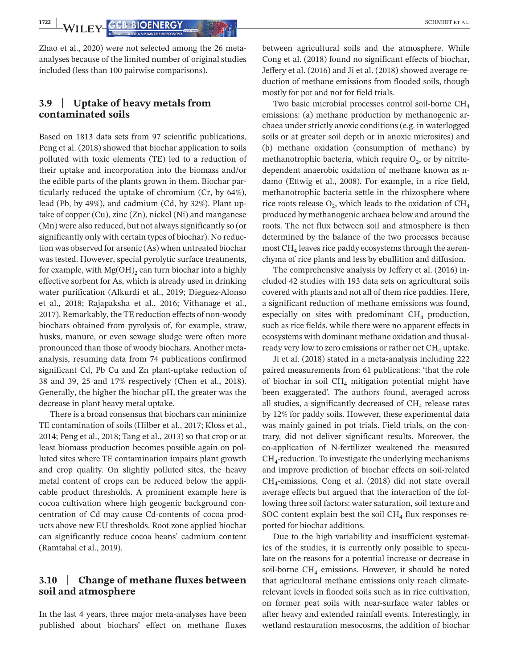Zhao et al., 2020) were not selected among the 26 metaanalyses because of the limited number of original studies included (less than 100 pairwise comparisons).

# **3.9** | **Uptake of heavy metals from contaminated soils**

Based on 1813 data sets from 97 scientific publications, Peng et al. (2018) showed that biochar application to soils polluted with toxic elements (TE) led to a reduction of their uptake and incorporation into the biomass and/or the edible parts of the plants grown in them. Biochar particularly reduced the uptake of chromium (Cr, by 64%), lead (Pb, by 49%), and cadmium (Cd, by 32%). Plant uptake of copper (Cu), zinc (Zn), nickel (Ni) and manganese (Mn) were also reduced, but not always significantly so (or significantly only with certain types of biochar). No reduction was observed for arsenic (As) when untreated biochar was tested. However, special pyrolytic surface treatments, for example, with  $Mg(OH)$ , can turn biochar into a highly effective sorbent for As, which is already used in drinking water purification (Alkurdi et al., 2019; Dieguez-Alonso et al., 2018; Rajapaksha et al., 2016; Vithanage et al., 2017). Remarkably, the TE reduction effects of non-woody biochars obtained from pyrolysis of, for example, straw, husks, manure, or even sewage sludge were often more pronounced than those of woody biochars. Another metaanalysis, resuming data from 74 publications confirmed significant Cd, Pb Cu and Zn plant-uptake reduction of 38 and 39, 25 and 17% respectively (Chen et al., 2018). Generally, the higher the biochar pH, the greater was the decrease in plant heavy metal uptake.

There is a broad consensus that biochars can minimize TE contamination of soils (Hilber et al., 2017; Kloss et al., 2014; Peng et al., 2018; Tang et al., 2013) so that crop or at least biomass production becomes possible again on polluted sites where TE contamination impairs plant growth and crop quality. On slightly polluted sites, the heavy metal content of crops can be reduced below the applicable product thresholds. A prominent example here is cocoa cultivation where high geogenic background concentration of Cd may cause Cd-contents of cocoa products above new EU thresholds. Root zone applied biochar can significantly reduce cocoa beans' cadmium content (Ramtahal et al., 2019).

### **3.10** | **Change of methane fluxes between soil and atmosphere**

In the last 4 years, three major meta-analyses have been published about biochars' effect on methane fluxes

between agricultural soils and the atmosphere. While Cong et al. (2018) found no significant effects of biochar, Jeffery et al. (2016) and Ji et al. (2018) showed average reduction of methane emissions from flooded soils, though mostly for pot and not for field trials.

Two basic microbial processes control soil-borne  $CH<sub>4</sub>$ emissions: (a) methane production by methanogenic archaea under strictly anoxic conditions (e.g. in waterlogged soils or at greater soil depth or in anoxic microsites) and (b) methane oxidation (consumption of methane) by methanotrophic bacteria, which require  $O<sub>2</sub>$ , or by nitritedependent anaerobic oxidation of methane known as ndamo (Ettwig et al., 2008). For example, in a rice field, methanotrophic bacteria settle in the rhizosphere where rice roots release  $O_2$ , which leads to the oxidation of CH<sub>4</sub> produced by methanogenic archaea below and around the roots. The net flux between soil and atmosphere is then determined by the balance of the two processes because most  $CH<sub>4</sub>$  leaves rice paddy ecosystems through the aerenchyma of rice plants and less by ebullition and diffusion.

The comprehensive analysis by Jeffery et al. (2016) included 42 studies with 193 data sets on agricultural soils covered with plants and not all of them rice paddies. Here, a significant reduction of methane emissions was found, especially on sites with predominant  $CH<sub>4</sub>$  production, such as rice fields, while there were no apparent effects in ecosystems with dominant methane oxidation and thus already very low to zero emissions or rather net  $CH<sub>4</sub>$  uptake.

Ji et al. (2018) stated in a meta-analysis including 222 paired measurements from 61 publications: 'that the role of biochar in soil  $CH<sub>4</sub>$  mitigation potential might have been exaggerated'. The authors found, averaged across all studies, a significantly decreased of  $CH<sub>4</sub>$  release rates by 12% for paddy soils. However, these experimental data was mainly gained in pot trials. Field trials, on the contrary, did not deliver significant results. Moreover, the co-application of N-fertilizer weakened the measured  $CH<sub>4</sub>$ -reduction. To investigate the underlying mechanisms and improve prediction of biochar effects on soil-related CH4-emissions, Cong et al. (2018) did not state overall average effects but argued that the interaction of the following three soil factors: water saturation, soil texture and SOC content explain best the soil  $CH<sub>4</sub>$  flux responses reported for biochar additions.

Due to the high variability and insufficient systematics of the studies, it is currently only possible to speculate on the reasons for a potential increase or decrease in soil-borne  $CH_4$  emissions. However, it should be noted that agricultural methane emissions only reach climaterelevant levels in flooded soils such as in rice cultivation, on former peat soils with near-surface water tables or after heavy and extended rainfall events. Interestingly, in wetland restauration mesocosms, the addition of biochar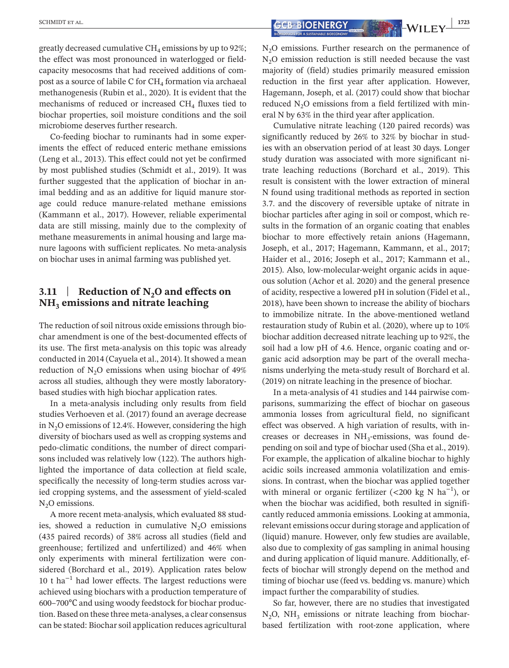greatly decreased cumulative  $CH<sub>4</sub>$  emissions by up to 92%; the effect was most pronounced in waterlogged or fieldcapacity mesocosms that had received additions of compost as a source of labile C for  $CH<sub>4</sub>$  formation via archaeal methanogenesis (Rubin et al., 2020). It is evident that the mechanisms of reduced or increased  $CH<sub>4</sub>$  fluxes tied to biochar properties, soil moisture conditions and the soil microbiome deserves further research.

Co-feeding biochar to ruminants had in some experiments the effect of reduced enteric methane emissions (Leng et al., 2013). This effect could not yet be confirmed by most published studies (Schmidt et al., 2019). It was further suggested that the application of biochar in animal bedding and as an additive for liquid manure storage could reduce manure-related methane emissions (Kammann et al., 2017). However, reliable experimental data are still missing, mainly due to the complexity of methane measurements in animal housing and large manure lagoons with sufficient replicates. No meta-analysis on biochar uses in animal farming was published yet.

# **3.11**  $\phantom{0}$  **Reduction of N<sub>2</sub>O and effects on NH3 emissions and nitrate leaching**

The reduction of soil nitrous oxide emissions through biochar amendment is one of the best-documented effects of its use. The first meta-analysis on this topic was already conducted in 2014 (Cayuela et al., 2014). It showed a mean reduction of  $N_2O$  emissions when using biochar of 49% across all studies, although they were mostly laboratorybased studies with high biochar application rates.

In a meta-analysis including only results from field studies Verhoeven et al. (2017) found an average decrease in  $N_2O$  emissions of 12.4%. However, considering the high diversity of biochars used as well as cropping systems and pedo-climatic conditions, the number of direct comparisons included was relatively low (122). The authors highlighted the importance of data collection at field scale, specifically the necessity of long-term studies across varied cropping systems, and the assessment of yield-scaled  $N<sub>2</sub>O$  emissions.

A more recent meta-analysis, which evaluated 88 studies, showed a reduction in cumulative  $N_2O$  emissions (435 paired records) of 38% across all studies (field and greenhouse; fertilized and unfertilized) and 46% when only experiments with mineral fertilization were considered (Borchard et al., 2019). Application rates below 10 t ha<sup> $-1$ </sup> had lower effects. The largest reductions were achieved using biochars with a production temperature of 600–700℃ and using woody feedstock for biochar production. Based on these three meta-analyses, a clear consensus can be stated: Biochar soil application reduces agricultural

 $N<sub>2</sub>O$  emissions. Further research on the permanence of  $N<sub>2</sub>O$  emission reduction is still needed because the vast majority of (field) studies primarily measured emission reduction in the first year after application. However, Hagemann, Joseph, et al. (2017) could show that biochar reduced  $N_2O$  emissions from a field fertilized with mineral N by 63% in the third year after application.

Cumulative nitrate leaching (120 paired records) was significantly reduced by 26% to 32% by biochar in studies with an observation period of at least 30 days. Longer study duration was associated with more significant nitrate leaching reductions (Borchard et al., 2019). This result is consistent with the lower extraction of mineral N found using traditional methods as reported in section 3.7. and the discovery of reversible uptake of nitrate in biochar particles after aging in soil or compost, which results in the formation of an organic coating that enables biochar to more effectively retain anions (Hagemann, Joseph, et al., 2017; Hagemann, Kammann, et al., 2017; Haider et al., 2016; Joseph et al., 2017; Kammann et al., 2015). Also, low-molecular-weight organic acids in aqueous solution (Achor et al. 2020) and the general presence of acidity, respective a lowered pH in solution (Fidel et al., 2018), have been shown to increase the ability of biochars to immobilize nitrate. In the above-mentioned wetland restauration study of Rubin et al. (2020), where up to 10% biochar addition decreased nitrate leaching up to 92%, the soil had a low pH of 4.6. Hence, organic coating and organic acid adsorption may be part of the overall mechanisms underlying the meta-study result of Borchard et al. (2019) on nitrate leaching in the presence of biochar.

In a meta-analysis of 41 studies and 144 pairwise comparisons, summarizing the effect of biochar on gaseous ammonia losses from agricultural field, no significant effect was observed. A high variation of results, with increases or decreases in  $NH_3$ -emissions, was found depending on soil and type of biochar used (Sha et al., 2019). For example, the application of alkaline biochar to highly acidic soils increased ammonia volatilization and emissions. In contrast, when the biochar was applied together with mineral or organic fertilizer (<200  $kg$  N ha<sup>-1</sup>), or when the biochar was acidified, both resulted in significantly reduced ammonia emissions. Looking at ammonia, relevant emissions occur during storage and application of (liquid) manure. However, only few studies are available, also due to complexity of gas sampling in animal housing and during application of liquid manure. Additionally, effects of biochar will strongly depend on the method and timing of biochar use (feed vs. bedding vs. manure) which impact further the comparability of studies.

So far, however, there are no studies that investigated  $N_2O$ ,  $NH_3$  emissions or nitrate leaching from biocharbased fertilization with root-zone application, where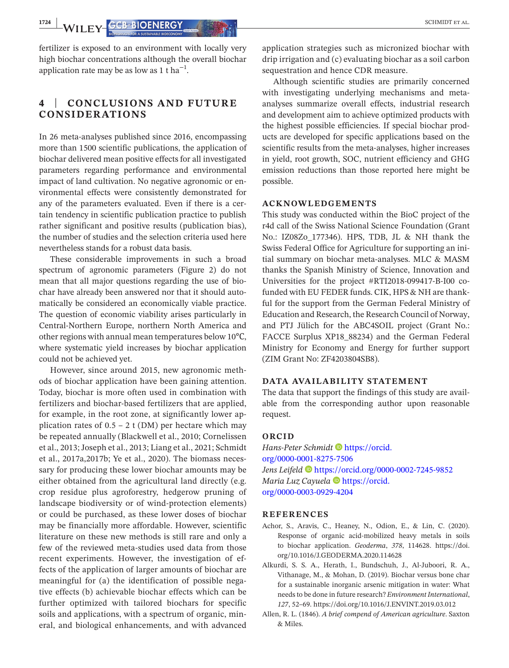**1724** WILEY-CCB-BIOENERGY **AND AND AND ARRIVE SCHMIDT ET AL.** 

fertilizer is exposed to an environment with locally very high biochar concentrations although the overall biochar application rate may be as low as 1 t ha<sup> $-1$ </sup>.

# **4** | **CONCLUSIONS AND FUTURE CONSIDERATIONS**

In 26 meta-analyses published since 2016, encompassing more than 1500 scientific publications, the application of biochar delivered mean positive effects for all investigated parameters regarding performance and environmental impact of land cultivation. No negative agronomic or environmental effects were consistently demonstrated for any of the parameters evaluated. Even if there is a certain tendency in scientific publication practice to publish rather significant and positive results (publication bias), the number of studies and the selection criteria used here nevertheless stands for a robust data basis.

These considerable improvements in such a broad spectrum of agronomic parameters (Figure 2) do not mean that all major questions regarding the use of biochar have already been answered nor that it should automatically be considered an economically viable practice. The question of economic viability arises particularly in Central-Northern Europe, northern North America and other regions with annual mean temperatures below 10℃, where systematic yield increases by biochar application could not be achieved yet.

However, since around 2015, new agronomic methods of biochar application have been gaining attention. Today, biochar is more often used in combination with fertilizers and biochar-based fertilizers that are applied, for example, in the root zone, at significantly lower application rates of  $0.5 - 2$  t (DM) per hectare which may be repeated annually (Blackwell et al., 2010; Cornelissen et al., 2013; Joseph et al., 2013; Liang et al., 2021; Schmidt et al., 2017a,2017b; Ye et al., 2020). The biomass necessary for producing these lower biochar amounts may be either obtained from the agricultural land directly (e.g. crop residue plus agroforestry, hedgerow pruning of landscape biodiversity or of wind-protection elements) or could be purchased, as these lower doses of biochar may be financially more affordable. However, scientific literature on these new methods is still rare and only a few of the reviewed meta-studies used data from those recent experiments. However, the investigation of effects of the application of larger amounts of biochar are meaningful for (a) the identification of possible negative effects (b) achievable biochar effects which can be further optimized with tailored biochars for specific soils and applications, with a spectrum of organic, mineral, and biological enhancements, and with advanced

application strategies such as micronized biochar with drip irrigation and (c) evaluating biochar as a soil carbon sequestration and hence CDR measure.

Although scientific studies are primarily concerned with investigating underlying mechanisms and metaanalyses summarize overall effects, industrial research and development aim to achieve optimized products with the highest possible efficiencies. If special biochar products are developed for specific applications based on the scientific results from the meta-analyses, higher increases in yield, root growth, SOC, nutrient efficiency and GHG emission reductions than those reported here might be possible.

#### **ACKNOWLEDGEMENTS**

This study was conducted within the BioC project of the r4d call of the Swiss National Science Foundation (Grant No.: IZ08Zo\_177346). HPS, TDB, JL & NH thank the Swiss Federal Office for Agriculture for supporting an initial summary on biochar meta-analyses. MLC & MASM thanks the Spanish Ministry of Science, Innovation and Universities for the project #RTI2018-099417-B-I00 cofunded with EU FEDER funds. CIK, HPS & NH are thankful for the support from the German Federal Ministry of Education and Research, the Research Council of Norway, and PTJ Jülich for the ABC4SOIL project (Grant No.: FACCE Surplus XP18\_88234) and the German Federal Ministry for Economy and Energy for further support (ZIM Grant No: ZF4203804SB8).

#### **DATA AVAILABILITY STATEMENT**

The data that support the findings of this study are available from the corresponding author upon reasonable request.

#### **ORCID**

*Hans-Peter Schmidt* **[https://orcid.](https://orcid.org/0000-0001-8275-7506)** [org/0000-0001-8275-7506](https://orcid.org/0000-0001-8275-7506) *Jens Leifeld* <https://orcid.org/0000-0002-7245-9852> *Maria Luz Cayuela* **[https://orcid.](https://orcid.org/0000-0003-0929-4204)** [org/0000-0003-0929-4204](https://orcid.org/0000-0003-0929-4204)

#### **REFERENCES**

- Achor, S., Aravis, C., Heaney, N., Odion, E., & Lin, C. (2020). Response of organic acid-mobilized heavy metals in soils to biochar application. *Geoderma*, *378*, 114628. [https://doi.](https://doi.org/10.1016/J.GEODERMA.2020.114628) [org/10.1016/J.GEODERMA.2020.114628](https://doi.org/10.1016/J.GEODERMA.2020.114628)
- Alkurdi, S. S. A., Herath, I., Bundschuh, J., Al-Juboori, R. A., Vithanage, M., & Mohan, D. (2019). Biochar versus bone char for a sustainable inorganic arsenic mitigation in water: What needs to be done in future research? *Environment International*, *127*, 52–69. <https://doi.org/10.1016/J.ENVINT.2019.03.012>
- Allen, R. L. (1846). *A brief compend of American agriculture*. Saxton & Miles.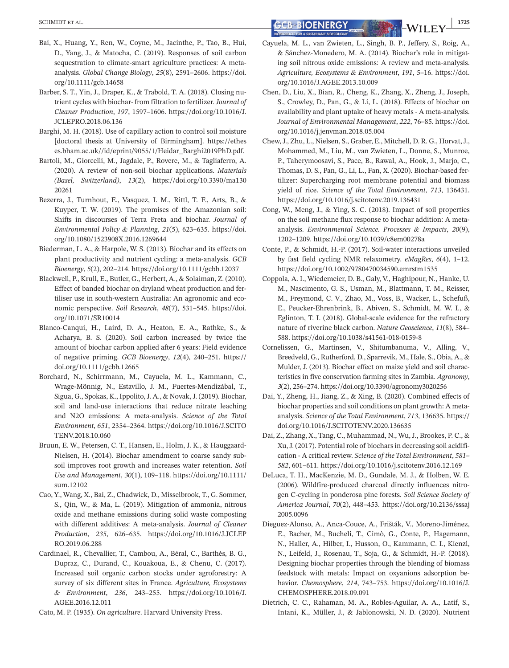- Bai, X., Huang, Y., Ren, W., Coyne, M., Jacinthe, P., Tao, B., Hui, D., Yang, J., & Matocha, C. (2019). Responses of soil carbon sequestration to climate-smart agriculture practices: A metaanalysis. *Global Change Biology*, *25*(8), 2591–2606. [https://doi.](https://doi.org/10.1111/gcb.14658) [org/10.1111/gcb.14658](https://doi.org/10.1111/gcb.14658)
- Barber, S. T., Yin, J., Draper, K., & Trabold, T. A. (2018). Closing nutrient cycles with biochar- from filtration to fertilizer. *Journal of Cleaner Production*, *197*, 1597–1606. [https://doi.org/10.1016/J.](https://doi.org/10.1016/J.JCLEPRO.2018.06.136) [JCLEPRO.2018.06.136](https://doi.org/10.1016/J.JCLEPRO.2018.06.136)
- Barghi, M. H. (2018). Use of capillary action to control soil moisture [doctoral thesis at University of Birmingham]. [https://ethes](https://etheses.bham.ac.uk//id/eprint/9055/1/Heidar_Barghi2019PhD.pdf) [es.bham.ac.uk//id/eprint/9055/1/Heidar\\_Barghi2019PhD.pdf](https://etheses.bham.ac.uk//id/eprint/9055/1/Heidar_Barghi2019PhD.pdf).
- Bartoli, M., Giorcelli, M., Jagdale, P., Rovere, M., & Tagliaferro, A. (2020). A review of non-soil biochar applications. *Materials (Basel, Switzerland)*, *13*(2), [https://doi.org/10.3390/ma130](https://doi.org/10.3390/ma13020261) [20261](https://doi.org/10.3390/ma13020261)
- Bezerra, J., Turnhout, E., Vasquez, I. M., Rittl, T. F., Arts, B., & Kuyper, T. W. (2019). The promises of the Amazonian soil: Shifts in discourses of Terra Preta and biochar. *Journal of Environmental Policy & Planning*, *21*(5), 623–635. [https://doi.](https://doi.org/10.1080/1523908X.2016.1269644) [org/10.1080/1523908X.2016.1269644](https://doi.org/10.1080/1523908X.2016.1269644)
- Biederman, L. A., & Harpole, W. S. (2013). Biochar and its effects on plant productivity and nutrient cycling: a meta-analysis. *GCB Bioenergy*, *5*(2), 202–214. <https://doi.org/10.1111/gcbb.12037>
- Blackwell, P., Krull, E., Butler, G., Herbert, A., & Solaiman, Z. (2010). Effect of banded biochar on dryland wheat production and fertiliser use in south-western Australia: An agronomic and economic perspective. *Soil Research*, *48*(7), 531–545. [https://doi.](https://doi.org/10.1071/SR10014) [org/10.1071/SR10014](https://doi.org/10.1071/SR10014)
- Blanco-Canqui, H., Laird, D. A., Heaton, E. A., Rathke, S., & Acharya, B. S. (2020). Soil carbon increased by twice the amount of biochar carbon applied after 6 years: Field evidence of negative priming. *GCB Bioenergy*, *12*(4), 240–251. [https://](https://doi.org/10.1111/gcbb.12665) [doi.org/10.1111/gcbb.12665](https://doi.org/10.1111/gcbb.12665)
- Borchard, N., Schirrmann, M., Cayuela, M. L., Kammann, C., Wrage-Mönnig, N., Estavillo, J. M., Fuertes-Mendizábal, T., Sigua, G., Spokas, K., Ippolito, J. A., & Novak, J. (2019). Biochar, soil and land-use interactions that reduce nitrate leaching and N2O emissions: A meta-analysis. *Science of the Total Environment*, *651*, 2354–2364. [https://doi.org/10.1016/J.SCITO](https://doi.org/10.1016/J.SCITOTENV.2018.10.060) [TENV.2018.10.060](https://doi.org/10.1016/J.SCITOTENV.2018.10.060)
- Bruun, E. W., Petersen, C. T., Hansen, E., Holm, J. K., & Hauggaard-Nielsen, H. (2014). Biochar amendment to coarse sandy subsoil improves root growth and increases water retention. *Soil Use and Management*, *30*(1), 109–118. [https://doi.org/10.1111/](https://doi.org/10.1111/sum.12102) [sum.12102](https://doi.org/10.1111/sum.12102)
- Cao, Y., Wang, X., Bai, Z., Chadwick, D., Misselbrook, T., G. Sommer, S., Qin, W., & Ma, L. (2019). Mitigation of ammonia, nitrous oxide and methane emissions during solid waste composting with different additives: A meta-analysis. *Journal of Cleaner Production*, *235*, 626–635. [https://doi.org/10.1016/J.JCLEP](https://doi.org/10.1016/J.JCLEPRO.2019.06.288) [RO.2019.06.288](https://doi.org/10.1016/J.JCLEPRO.2019.06.288)
- Cardinael, R., Chevallier, T., Cambou, A., Béral, C., Barthès, B. G., Dupraz, C., Durand, C., Kouakoua, E., & Chenu, C. (2017). Increased soil organic carbon stocks under agroforestry: A survey of six different sites in France. *Agriculture, Ecosystems & Environment*, *236*, 243–255. [https://doi.org/10.1016/J.](https://doi.org/10.1016/J.AGEE.2016.12.011) [AGEE.2016.12.011](https://doi.org/10.1016/J.AGEE.2016.12.011)
- Cato, M. P. (1935). *On agriculture*. Harvard University Press.

**SCHMIDT ET AL. 1725 18 (SCH-BIOENERGY ) 18 (SCH-BIOENERGY ) 18 (SCH-BIOENERGY** ) **18 (SCH)** 

- Cayuela, M. L., van Zwieten, L., Singh, B. P., Jeffery, S., Roig, A., & Sánchez-Monedero, M. A. (2014). Biochar's role in mitigating soil nitrous oxide emissions: A review and meta-analysis. *Agriculture, Ecosystems & Environment*, *191*, 5–16. [https://doi.](https://doi.org/10.1016/J.AGEE.2013.10.009) [org/10.1016/J.AGEE.2013.10.009](https://doi.org/10.1016/J.AGEE.2013.10.009)
- Chen, D., Liu, X., Bian, R., Cheng, K., Zhang, X., Zheng, J., Joseph, S., Crowley, D., Pan, G., & Li, L. (2018). Effects of biochar on availability and plant uptake of heavy metals - A meta-analysis. *Journal of Environmental Management*, *222*, 76–85. [https://doi.](https://doi.org/10.1016/j.jenvman.2018.05.004) [org/10.1016/j.jenvman.2018.05.004](https://doi.org/10.1016/j.jenvman.2018.05.004)
- Chew, J., Zhu, L., Nielsen, S., Graber, E., Mitchell, D. R. G., Horvat, J., Mohammed, M., Liu, M., van Zwieten, L., Donne, S., Munroe, P., Taherymoosavi, S., Pace, B., Rawal, A., Hook, J., Marjo, C., Thomas, D. S., Pan, G., Li, L., Fan, X. (2020). Biochar-based fertilizer: Supercharging root membrane potential and biomass yield of rice. *Science of the Total Environment*, *713*, 136431. <https://doi.org/10.1016/j.scitotenv.2019.136431>
- Cong, W., Meng, J., & Ying, S. C. (2018). Impact of soil properties on the soil methane flux response to biochar addition: A metaanalysis. *Environmental Science. Processes & Impacts*, *20*(9), 1202–1209. <https://doi.org/10.1039/c8em00278a>
- Conte, P., & Schmidt, H.-P. (2017). Soil-water interactions unveiled by fast field cycling NMR relaxometry. *eMagRes*, *6*(4), 1–12. <https://doi.org/10.1002/9780470034590.emrstm1535>
- Coppola, A. I., Wiedemeier, D. B., Galy, V., Haghipour, N., Hanke, U. M., Nascimento, G. S., Usman, M., Blattmann, T. M., Reisser, M., Freymond, C. V., Zhao, M., Voss, B., Wacker, L., Schefuß, E., Peucker-Ehrenbrink, B., Abiven, S., Schmidt, M. W. I., & Eglinton, T. I. (2018). Global-scale evidence for the refractory nature of riverine black carbon. *Nature Geoscience*, *11*(8), 584– 588. <https://doi.org/10.1038/s41561-018-0159-8>
- Cornelissen, G., Martinsen, V., Shitumbanuma, V., Alling, V., Breedveld, G., Rutherford, D., Sparrevik, M., Hale, S., Obia, A., & Mulder, J. (2013). Biochar effect on maize yield and soil characteristics in five conservation farming sites in Zambia. *Agronomy*, *3*(2), 256–274.<https://doi.org/10.3390/agronomy3020256>
- Dai, Y., Zheng, H., Jiang, Z., & Xing, B. (2020). Combined effects of biochar properties and soil conditions on plant growth: A metaanalysis. *Science of the Total Environment*, *713*, 136635. [https://](https://doi.org/10.1016/J.SCITOTENV.2020.136635) [doi.org/10.1016/J.SCITOTENV.2020.136635](https://doi.org/10.1016/J.SCITOTENV.2020.136635)
- Dai, Z., Zhang, X., Tang, C., Muhammad, N., Wu, J., Brookes, P. C., & Xu, J. (2017). Potential role of biochars in decreasing soil acidification - A critical review. *Science of the Total Environment*, *581– 582*, 601–611.<https://doi.org/10.1016/j.scitotenv.2016.12.169>
- DeLuca, T. H., MacKenzie, M. D., Gundale, M. J., & Holben, W. E. (2006). Wildfire-produced charcoal directly influences nitrogen C-cycling in ponderosa pine forests. *Soil Science Society of America Journal*, *70*(2), 448–453. [https://doi.org/10.2136/sssaj](https://doi.org/10.2136/sssaj2005.0096) [2005.0096](https://doi.org/10.2136/sssaj2005.0096)
- Dieguez-Alonso, A., Anca-Couce, A., Frišták, V., Moreno-Jiménez, E., Bacher, M., Bucheli, T., Cimò, G., Conte, P., Hagemann, N., Haller, A., Hilber, I., Husson, O., Kammann, C. I., Kienzl, N., Leifeld, J., Rosenau, T., Soja, G., & Schmidt, H.-P. (2018). Designing biochar properties through the blending of biomass feedstock with metals: Impact on oxyanions adsorption behavior. *Chemosphere*, *214*, 743–753. [https://doi.org/10.1016/J.](https://doi.org/10.1016/J.CHEMOSPHERE.2018.09.091) [CHEMOSPHERE.2018.09.091](https://doi.org/10.1016/J.CHEMOSPHERE.2018.09.091)
- Dietrich, C. C., Rahaman, M. A., Robles-Aguilar, A. A., Latif, S., Intani, K., Müller, J., & Jablonowski, N. D. (2020). Nutrient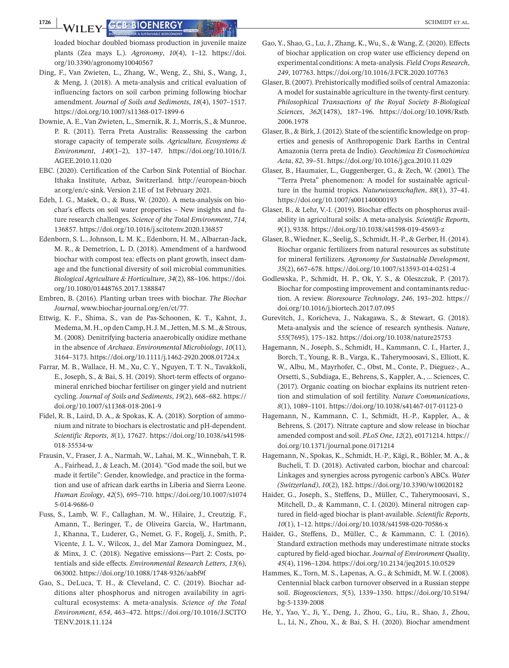**1726 | <b>A***I*II EX GCI-BOENERGY *|* **CONFIGU** 

loaded biochar doubled biomass production in juvenile maize plants (Zea mays L.). *Agronomy*, *10*(4), 1–12. [https://doi.](https://doi.org/10.3390/agronomy10040567) [org/10.3390/agronomy10040567](https://doi.org/10.3390/agronomy10040567)

- Ding, F., Van Zwieten, L., Zhang, W., Weng, Z., Shi, S., Wang, J., & Meng, J. (2018). A meta-analysis and critical evaluation of influencing factors on soil carbon priming following biochar amendment. *Journal of Soils and Sediments*, *18*(4), 1507–1517. <https://doi.org/10.1007/s11368-017-1899-6>
- Downie, A. E., Van Zwieten, L., Smernik, R. J., Morris, S., & Munroe, P. R. (2011). Terra Preta Australis: Reassessing the carbon storage capacity of temperate soils. *Agriculture, Ecosystems & Environment*, *140*(1–2), 137–147. [https://doi.org/10.1016/J.](https://doi.org/10.1016/J.AGEE.2010.11.020) [AGEE.2010.11.020](https://doi.org/10.1016/J.AGEE.2010.11.020)
- EBC. (2020). Certification of the Carbon Sink Potential of Biochar. Ithaka Institute, Arbaz, Switzerland. [http://european-bioch](http://european-biochar.org/en/c-sink) [ar.org/en/c-sink](http://european-biochar.org/en/c-sink). Version 2.1E of 1st February 2021.
- Edeh, I. G., Mašek, O., & Buss, W. (2020). A meta-analysis on biochar's effects on soil water properties – New insights and future research challenges. *Science of the Total Environment*, *714*, 136857. <https://doi.org/10.1016/j.scitotenv.2020.136857>
- Edenborn, S. L., Johnson, L. M. K., Edenborn, H. M., Albarran-Jack, M. R., & Demetrion, L. D. (2018). Amendment of a hardwood biochar with compost tea: effects on plant growth, insect damage and the functional diversity of soil microbial communities. *Biological Agriculture & Horticulture*, *34*(2), 88–106. [https://doi.](https://doi.org/10.1080/01448765.2017.1388847) [org/10.1080/01448765.2017.1388847](https://doi.org/10.1080/01448765.2017.1388847)
- Embren, B. (2016). Planting urban trees with biochar. *The Biochar Journal*, [www.biochar-journal.org/en/ct/77.](http://www.biochar-journal.org/en/ct/77)
- Ettwig, K. F., Shima, S., van de Pas-Schoonen, K. T., Kahnt, J., Medema, M. H., op den Camp, H. J. M., Jetten, M. S. M., & Strous, M. (2008). Denitrifying bacteria anaerobically oxidize methane in the absence of *Archaea*. *Environmental Microbiology*, *10*(11), 3164–3173. <https://doi.org/10.1111/j.1462-2920.2008.01724.x>
- Farrar, M. B., Wallace, H. M., Xu, C. Y., Nguyen, T. T. N., Tavakkoli, E., Joseph, S., & Bai, S. H. (2019). Short-term effects of organomineral enriched biochar fertiliser on ginger yield and nutrient cycling. *Journal of Soils and Sediments*, *19*(2), 668–682. [https://](https://doi.org/10.1007/s11368-018-2061-9) [doi.org/10.1007/s11368-018-2061-9](https://doi.org/10.1007/s11368-018-2061-9)
- Fidel, R. B., Laird, D. A., & Spokas, K. A. (2018). Sorption of ammonium and nitrate to biochars is electrostatic and pH-dependent. *Scientific Reports*, *8*(1), 17627. [https://doi.org/10.1038/s41598-](https://doi.org/10.1038/s41598-018-35534-w) [018-35534-w](https://doi.org/10.1038/s41598-018-35534-w)
- Frausin, V., Fraser, J. A., Narmah, W., Lahai, M. K., Winnebah, T. R. A., Fairhead, J., & Leach, M. (2014). "God made the soil, but we made it fertile": Gender, knowledge, and practice in the formation and use of african dark earths in Liberia and Sierra Leone. *Human Ecology*, *42*(5), 695–710. [https://doi.org/10.1007/s1074](https://doi.org/10.1007/s10745-014-9686-0) [5-014-9686-0](https://doi.org/10.1007/s10745-014-9686-0)
- Fuss, S., Lamb, W. F., Callaghan, M. W., Hilaire, J., Creutzig, F., Amann, T., Beringer, T., de Oliveira Garcia, W., Hartmann, J., Khanna, T., Luderer, G., Nemet, G. F., Rogelj, J., Smith, P., Vicente, J. L. V., Wilcox, J., del Mar Zamora Dominguez, M., & Minx, J. C. (2018). Negative emissions—Part 2: Costs, potentials and side effects. *Environmental Research Letters*, *13*(6), 063002. <https://doi.org/10.1088/1748-9326/aabf9f>
- Gao, S., DeLuca, T. H., & Cleveland, C. C. (2019). Biochar additions alter phosphorus and nitrogen availability in agricultural ecosystems: A meta-analysis. *Science of the Total Environment*, *654*, 463–472. [https://doi.org/10.1016/J.SCITO](https://doi.org/10.1016/J.SCITOTENV.2018.11.124) [TENV.2018.11.124](https://doi.org/10.1016/J.SCITOTENV.2018.11.124)
- Gao, Y., Shao, G., Lu, J., Zhang, K., Wu, S., & Wang, Z. (2020). Effects of biochar application on crop water use efficiency depend on experimental conditions: A meta-analysis. *Field Crops Research*, *249*, 107763. <https://doi.org/10.1016/J.FCR.2020.107763>
- Glaser, B. (2007). Prehistorically modified soils of central Amazonia: A model for sustainable agriculture in the twenty-first century. *Philosophical Transactions of the Royal Society B-Biological Sciences*, *362*(1478), 187–196. [https://doi.org/10.1098/Rstb.](https://doi.org/10.1098/Rstb.2006.1978)  [2006.1978](https://doi.org/10.1098/Rstb.2006.1978)
- Glaser, B., & Birk, J. (2012). State of the scientific knowledge on properties and genesis of Anthropogenic Dark Earths in Central Amazonia (terra preta de Índio). *Geochimica Et Cosmochimica Acta*, *82*, 39–51. <https://doi.org/10.1016/j.gca.2010.11.029>
- Glaser, B., Haumaier, L., Guggenberger, G., & Zech, W. (2001). The "Terra Preta" phenomenon: A model for sustainable agriculture in the humid tropics. *Naturwissenschaften*, *88*(1), 37–41. <https://doi.org/10.1007/s001140000193>
- Glaser, B., & Lehr, V.-I. (2019). Biochar effects on phosphorus availability in agricultural soils: A meta-analysis. *Scientific Reports*, *9*(1), 9338.<https://doi.org/10.1038/s41598-019-45693-z>
- Glaser, B., Wiedner, K., Seelig, S., Schmidt, H.-P., & Gerber, H. (2014). Biochar organic fertilizers from natural resources as substitute for mineral fertilizers. *Agronomy for Sustainable Development*, *35*(2), 667–678. <https://doi.org/10.1007/s13593-014-0251-4>
- Godlewska, P., Schmidt, H. P., Ok, Y. S., & Oleszczuk, P. (2017). Biochar for composting improvement and contaminants reduction. A review. *Bioresource Technology*, *246*, 193–202. [https://](https://doi.org/10.1016/j.biortech.2017.07.095) [doi.org/10.1016/j.biortech.2017.07.095](https://doi.org/10.1016/j.biortech.2017.07.095)
- Gurevitch, J., Koricheva, J., Nakagawa, S., & Stewart, G. (2018). Meta-analysis and the science of research synthesis. *Nature*, *555*(7695), 175–182. <https://doi.org/10.1038/nature25753>
- Hagemann, N., Joseph, S., Schmidt, H., Kammann, C. I., Harter, J., Borch, T., Young, R. B., Varga, K., Taherymoosavi, S., Elliott, K. W., Albu, M., Mayrhofer, C., Obst, M., Conte, P., Dieguez-, A., Orsetti, S., Subdiaga, E., Behrens, S., Kappler, A., … Sciences, C. (2017). Organic coating on biochar explains its nutrient retention and stimulation of soil fertility. *Nature Communications*, *8*(1), 1089–1101.<https://doi.org/10.1038/s41467-017-01123-0>
- Hagemann, N., Kammann, C. I., Schmidt, H.-P., Kappler, A., & Behrens, S. (2017). Nitrate capture and slow release in biochar amended compost and soil. *PLoS One*, *12*(2), e0171214. [https://](https://doi.org/10.1371/journal.pone.0171214) [doi.org/10.1371/journal.pone.0171214](https://doi.org/10.1371/journal.pone.0171214)
- Hagemann, N., Spokas, K., Schmidt, H.-P., Kägi, R., Böhler, M. A., & Bucheli, T. D. (2018). Activated carbon, biochar and charcoal: Linkages and synergies across pyrogenic carbon's ABCs. *Water (Switzerland)*, *10*(2), 182. <https://doi.org/10.3390/w10020182>
- Haider, G., Joseph, S., Steffens, D., Müller, C., Taherymoosavi, S., Mitchell, D., & Kammann, C. I. (2020). Mineral nitrogen captured in field-aged biochar is plant-available. *Scientific Reports*, *10*(1), 1–12.<https://doi.org/10.1038/s41598-020-70586-x>
- Haider, G., Steffens, D., Müller, C., & Kammann, C. I. (2016). Standard extraction methods may underestimate nitrate stocks captured by field-aged biochar. *Journal of Environment Quality*, *45*(4), 1196–1204.<https://doi.org/10.2134/jeq2015.10.0529>
- Hammes, K., Torn, M. S., Lapenas, A. G., & Schmidt, M. W. I. (2008). Centennial black carbon turnover observed in a Russian steppe soil. *Biogeosciences*, *5*(5), 1339–1350. [https://doi.org/10.5194/](https://doi.org/10.5194/bg-5-1339-2008) [bg-5-1339-2008](https://doi.org/10.5194/bg-5-1339-2008)
- He, Y., Yao, Y., Ji, Y., Deng, J., Zhou, G., Liu, R., Shao, J., Zhou, L., Li, N., Zhou, X., & Bai, S. H. (2020). Biochar amendment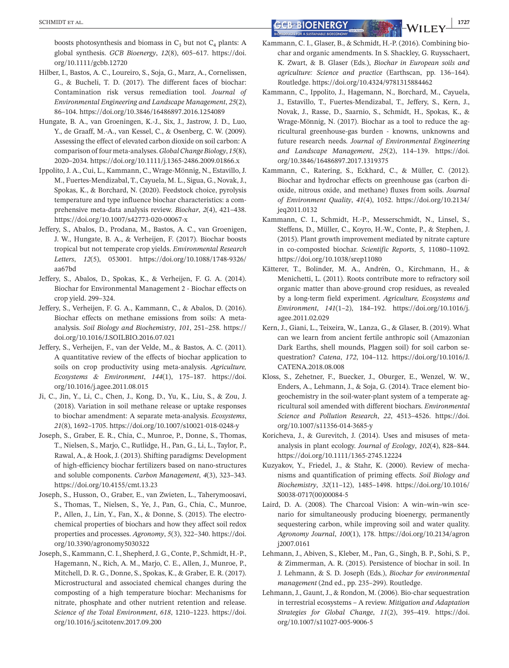boosts photosynthesis and biomass in  $C_3$  but not  $C_4$  plants: A global synthesis. *GCB Bioenergy*, *12*(8), 605–617. [https://doi.](https://doi.org/10.1111/gcbb.12720) [org/10.1111/gcbb.12720](https://doi.org/10.1111/gcbb.12720)

- Hilber, I., Bastos, A. C., Loureiro, S., Soja, G., Marz, A., Cornelissen, G., & Bucheli, T. D. (2017). The different faces of biochar: Contamination risk versus remediation tool. *Journal of Environmental Engineering and Landscape Management*, *25*(2), 86–104.<https://doi.org/10.3846/16486897.2016.1254089>
- Hungate, B. A., van Groeningen, K.-J., Six, J., Jastrow, J. D., Luo, Y., de Graaff, M.-A., van Kessel, C., & Osenberg, C. W. (2009). Assessing the effect of elevated carbon dioxide on soil carbon: A comparison of four meta-analyses. *Global Change Biology*, *15*(8), 2020–2034. <https://doi.org/10.1111/j.1365-2486.2009.01866.x>
- Ippolito, J. A., Cui, L., Kammann, C., Wrage-Mönnig, N., Estavillo, J. M., Fuertes-Mendizabal, T., Cayuela, M. L., Sigua, G., Novak, J., Spokas, K., & Borchard, N. (2020). Feedstock choice, pyrolysis temperature and type influence biochar characteristics: a comprehensive meta-data analysis review. *Biochar*, *2*(4), 421–438. <https://doi.org/10.1007/s42773-020-00067-x>
- Jeffery, S., Abalos, D., Prodana, M., Bastos, A. C., van Groenigen, J. W., Hungate, B. A., & Verheijen, F. (2017). Biochar boosts tropical but not temperate crop yields. *Environmental Research Letters*, *12*(5), 053001. [https://doi.org/10.1088/1748-9326/](https://doi.org/10.1088/1748-9326/aa67bd) [aa67bd](https://doi.org/10.1088/1748-9326/aa67bd)
- Jeffery, S., Abalos, D., Spokas, K., & Verheijen, F. G. A. (2014). Biochar for Environmental Management 2 - Biochar effects on crop yield. 299–324.
- Jeffery, S., Verheijen, F. G. A., Kammann, C., & Abalos, D. (2016). Biochar effects on methane emissions from soils: A metaanalysis. *Soil Biology and Biochemistry*, *101*, 251–258. [https://](https://doi.org/10.1016/J.SOILBIO.2016.07.021) [doi.org/10.1016/J.SOILBIO.2016.07.021](https://doi.org/10.1016/J.SOILBIO.2016.07.021)
- Jeffery, S., Verheijen, F., van der Velde, M., & Bastos, A. C. (2011). A quantitative review of the effects of biochar application to soils on crop productivity using meta-analysis. *Agriculture, Ecosystems & Environment*, *144*(1), 175–187. [https://doi.](https://doi.org/10.1016/j.agee.2011.08.015) [org/10.1016/j.agee.2011.08.015](https://doi.org/10.1016/j.agee.2011.08.015)
- Ji, C., Jin, Y., Li, C., Chen, J., Kong, D., Yu, K., Liu, S., & Zou, J. (2018). Variation in soil methane release or uptake responses to biochar amendment: A separate meta-analysis. *Ecosystems*, *21*(8), 1692–1705.<https://doi.org/10.1007/s10021-018-0248-y>
- Joseph, S., Graber, E. R., Chia, C., Munroe, P., Donne, S., Thomas, T., Nielsen, S., Marjo, C., Rutlidge, H., Pan, G., Li, L., Taylor, P., Rawal, A., & Hook, J. (2013). Shifting paradigms: Development of high-efficiency biochar fertilizers based on nano-structures and soluble components. *Carbon Management*, *4*(3), 323–343. <https://doi.org/10.4155/cmt.13.23>
- Joseph, S., Husson, O., Graber, E., van Zwieten, L., Taherymoosavi, S., Thomas, T., Nielsen, S., Ye, J., Pan, G., Chia, C., Munroe, P., Allen, J., Lin, Y., Fan, X., & Donne, S. (2015). The electrochemical properties of biochars and how they affect soil redox properties and processes. *Agronomy*, *5*(3), 322–340. [https://doi.](https://doi.org/10.3390/agronomy5030322) [org/10.3390/agronomy5030322](https://doi.org/10.3390/agronomy5030322)
- Joseph, S., Kammann, C. I., Shepherd, J. G., Conte, P., Schmidt, H.-P., Hagemann, N., Rich, A. M., Marjo, C. E., Allen, J., Munroe, P., Mitchell, D. R. G., Donne, S., Spokas, K., & Graber, E. R. (2017). Microstructural and associated chemical changes during the composting of a high temperature biochar: Mechanisms for nitrate, phosphate and other nutrient retention and release. *Science of the Total Environment*, *618*, 1210–1223. [https://doi.](https://doi.org/10.1016/j.scitotenv.2017.09.200) [org/10.1016/j.scitotenv.2017.09.200](https://doi.org/10.1016/j.scitotenv.2017.09.200)

 **|** SCHMIDT et al. **1727**

- Kammann, C. I., Glaser, B., & Schmidt, H.-P. (2016). Combining biochar and organic amendments. In S. Shackley, G. Ruysschaert, K. Zwart, & B. Glaser (Eds.), *Biochar in European soils and agriculture: Science and practice* (Earthscan, pp. 136–164). Routledge.<https://doi.org/10.4324/9781315884462>
- Kammann, C., Ippolito, J., Hagemann, N., Borchard, M., Cayuela, J., Estavillo, T., Fuertes-Mendizabal, T., Jeffery, S., Kern, J., Novak, J., Rasse, D., Saarnio, S., Schmidt, H., Spokas, K., & Wrage-Mönnig, N. (2017). Biochar as a tool to reduce the agricultural greenhouse-gas burden - knowns, unknowns and future research needs. *Journal of Environmental Engineering and Landscape Management*, *25*(2), 114–139. [https://doi.](https://doi.org/10.3846/16486897.2017.1319375) [org/10.3846/16486897.2017.1319375](https://doi.org/10.3846/16486897.2017.1319375)
- Kammann, C., Ratering, S., Eckhard, C., & Müller, C. (2012). Biochar and hydrochar effects on greenhouse gas (carbon dioxide, nitrous oxide, and methane) fluxes from soils. *Journal of Environment Quality*, *41*(4), 1052. [https://doi.org/10.2134/](https://doi.org/10.2134/jeq2011.0132) [jeq2011.0132](https://doi.org/10.2134/jeq2011.0132)
- Kammann, C. I., Schmidt, H.-P., Messerschmidt, N., Linsel, S., Steffens, D., Müller, C., Koyro, H.-W., Conte, P., & Stephen, J. (2015). Plant growth improvement mediated by nitrate capture in co-composted biochar. *Scientific Reports*, *5*, 11080–11092. <https://doi.org/10.1038/srep11080>
- Kätterer, T., Bolinder, M. A., Andrén, O., Kirchmann, H., & Menichetti, L. (2011). Roots contribute more to refractory soil organic matter than above-ground crop residues, as revealed by a long-term field experiment. *Agriculture, Ecosystems and Environment*, *141*(1–2), 184–192. [https://doi.org/10.1016/j.](https://doi.org/10.1016/j.agee.2011.02.029) [agee.2011.02.029](https://doi.org/10.1016/j.agee.2011.02.029)
- Kern, J., Giani, L., Teixeira, W., Lanza, G., & Glaser, B. (2019). What can we learn from ancient fertile anthropic soil (Amazonian Dark Earths, shell mounds, Plaggen soil) for soil carbon sequestration? *Catena*, *172*, 104–112. [https://doi.org/10.1016/J.](https://doi.org/10.1016/J.CATENA.2018.08.008) [CATENA.2018.08.008](https://doi.org/10.1016/J.CATENA.2018.08.008)
- Kloss, S., Zehetner, F., Buecker, J., Oburger, E., Wenzel, W. W., Enders, A., Lehmann, J., & Soja, G. (2014). Trace element biogeochemistry in the soil-water-plant system of a temperate agricultural soil amended with different biochars. *Environmental Science and Pollution Research*, *22*, 4513–4526. [https://doi.](https://doi.org/10.1007/s11356-014-3685-y) [org/10.1007/s11356-014-3685-y](https://doi.org/10.1007/s11356-014-3685-y)
- Koricheva, J., & Gurevitch, J. (2014). Uses and misuses of metaanalysis in plant ecology. *Journal of Ecology*, *102*(4), 828–844. <https://doi.org/10.1111/1365-2745.12224>
- Kuzyakov, Y., Friedel, J., & Stahr, K. (2000). Review of mechanisms and quantification of priming effects. *Soil Biology and Biochemistry*, *32*(11–12), 1485–1498. [https://doi.org/10.1016/](https://doi.org/10.1016/S0038-0717(00)00084-5) [S0038-0717\(00\)00084-5](https://doi.org/10.1016/S0038-0717(00)00084-5)
- Laird, D. A. (2008). The Charcoal Vision: A win–win–win scenario for simultaneously producing bioenergy, permanently sequestering carbon, while improving soil and water quality. *Agronomy Journal*, *100*(1), 178. [https://doi.org/10.2134/agron](https://doi.org/10.2134/agronj2007.0161) [j2007.0161](https://doi.org/10.2134/agronj2007.0161)
- Lehmann, J., Abiven, S., Kleber, M., Pan, G., Singh, B. P., Sohi, S. P., & Zimmerman, A. R. (2015). Persistence of biochar in soil. In J. Lehmann, & S. D. Joseph (Eds.), *Biochar for environmental management* (2nd ed., pp. 235–299). Routledge.
- Lehmann, J., Gaunt, J., & Rondon, M. (2006). Bio-char sequestration in terrestrial ecosystems – A review. *Mitigation and Adaptation Strategies for Global Change*, *11*(2), 395–419. [https://doi.](https://doi.org/10.1007/s11027-005-9006-5) [org/10.1007/s11027-005-9006-5](https://doi.org/10.1007/s11027-005-9006-5)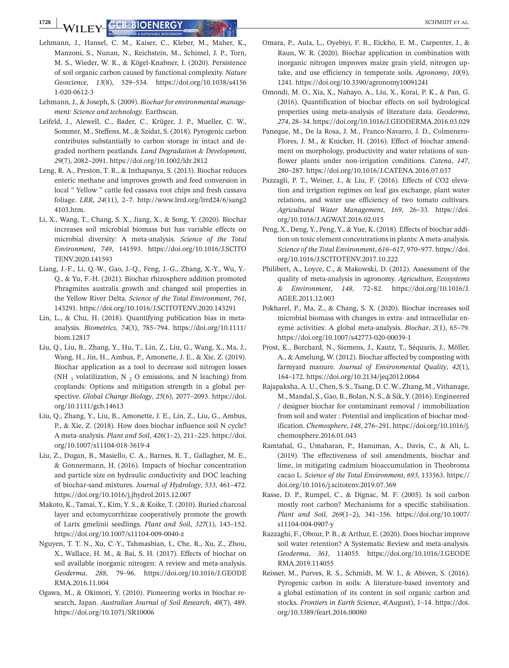**1728 COLLEX COLLEGE BIOENERGY** *COLLEGE AL.* 

- Lehmann, J., Hansel, C. M., Kaiser, C., Kleber, M., Maher, K., Manzoni, S., Nunan, N., Reichstein, M., Schimel, J. P., Torn, M. S., Wieder, W. R., & Kögel-Knabner, I. (2020). Persistence of soil organic carbon caused by functional complexity. *Nature Geoscience*, *13*(8), 529–534. [https://doi.org/10.1038/s4156](https://doi.org/10.1038/s41561-020-0612-3) [1-020-0612-3](https://doi.org/10.1038/s41561-020-0612-3)
- Lehmann, J., & Joseph, S. (2009). *Biochar for environmental management: Science and technology*. Earthscan.
- Leifeld, J., Alewell, C., Bader, C., Krüger, J. P., Mueller, C. W., Sommer, M., Steffens, M., & Szidat, S. (2018). Pyrogenic carbon contributes substantially to carbon storage in intact and degraded northern peatlands. *Land Degradation & Development*, *29*(7), 2082–2091.<https://doi.org/10.1002/ldr.2812>
- Leng, R. A., Preston, T. R., & Inthapanya, S. (2013). Biochar reduces enteric methane and improves growth and feed conversion in local " Yellow " cattle fed cassava root chips and fresh cassava foliage. *LRR*, *24*(11), 2–7. [http://www.lrrd.org/lrrd24/6/sang2](http://www.lrrd.org/lrrd24/6/sang24103.htm) [4103.htm](http://www.lrrd.org/lrrd24/6/sang24103.htm).
- Li, X., Wang, T., Chang, S. X., Jiang, X., & Song, Y. (2020). Biochar increases soil microbial biomass but has variable effects on microbial diversity: A meta-analysis. *Science of the Total Environment*, *749*, 141593. [https://doi.org/10.1016/J.SCITO](https://doi.org/10.1016/J.SCITOTENV.2020.141593) [TENV.2020.141593](https://doi.org/10.1016/J.SCITOTENV.2020.141593)
- Liang, J.-F., Li, Q.-W., Gao, J.-Q., Feng, J.-G., Zhang, X.-Y., Wu, Y.- Q., & Yu, F.-H. (2021). Biochar rhizosphere addition promoted Phragmites australis growth and changed soil properties in the Yellow River Delta. *Science of the Total Environment*, *761*, 143291. <https://doi.org/10.1016/J.SCITOTENV.2020.143291>
- Lin, L., & Chu, H. (2018). Quantifying publication bias in metaanalysis. *Biometrics*, *74*(3), 785–794. [https://doi.org/10.1111/](https://doi.org/10.1111/biom.12817) [biom.12817](https://doi.org/10.1111/biom.12817)
- Liu, Q., Liu, B., Zhang, Y., Hu, T., Lin, Z., Liu, G., Wang, X., Ma, J., Wang, H., Jin, H., Ambus, P., Amonette, J. E., & Xie, Z. (2019). Biochar application as a tool to decrease soil nitrogen losses (NH  $_3$  volatilization, N  $_2$  O emissions, and N leaching) from croplands: Options and mitigation strength in a global perspective. *Global Change Biology*, *25*(6), 2077–2093. [https://doi.](https://doi.org/10.1111/gcb.14613) [org/10.1111/gcb.14613](https://doi.org/10.1111/gcb.14613)
- Liu, Q., Zhang, Y., Liu, B., Amonette, J. E., Lin, Z., Liu, G., Ambus, P., & Xie, Z. (2018). How does biochar influence soil N cycle? A meta-analysis. *Plant and Soil*, *426*(1–2), 211–225. [https://doi.](https://doi.org/10.1007/s11104-018-3619-4) [org/10.1007/s11104-018-3619-4](https://doi.org/10.1007/s11104-018-3619-4)
- Liu, Z., Dugan, B., Masiello, C. A., Barnes, R. T., Gallagher, M. E., & Gonnermann, H. (2016). Impacts of biochar concentration and particle size on hydraulic conductivity and DOC leaching of biochar-sand mixtures. *Journal of Hydrology*, *533*, 461–472. <https://doi.org/10.1016/j.jhydrol.2015.12.007>
- Makoto, K., Tamai, Y., Kim, Y. S., & Koike, T. (2010). Buried charcoal layer and ectomycorrhizae cooperatively promote the growth of Larix gmelinii seedlings. *Plant and Soil*, *327*(1), 143–152. <https://doi.org/10.1007/s11104-009-0040-z>
- Nguyen, T. T. N., Xu, C.-Y., Tahmasbian, I., Che, R., Xu, Z., Zhou, X., Wallace, H. M., & Bai, S. H. (2017). Effects of biochar on soil available inorganic nitrogen: A review and meta-analysis. *Geoderma*, *288*, 79–96. [https://doi.org/10.1016/J.GEODE](https://doi.org/10.1016/J.GEODERMA.2016.11.004) [RMA.2016.11.004](https://doi.org/10.1016/J.GEODERMA.2016.11.004)
- Ogawa, M., & Okimori, Y. (2010). Pioneering works in biochar research, Japan. *Australian Journal of Soil Research*, *48*(7), 489. <https://doi.org/10.1071/SR10006>
- Omara, P., Aula, L., Oyebiyi, F. B., Eickho, E. M., Carpenter, J., & Raun, W. R. (2020). Biochar application in combination with inorganic nitrogen improves maize grain yield, nitrogen uptake, and use efficiency in temperate soils. *Agronomy*, *10*(9), 1241. <https://doi.org/10.3390/agronomy10091241>
- Omondi, M. O., Xia, X., Nahayo, A., Liu, X., Korai, P. K., & Pan, G. (2016). Quantification of biochar effects on soil hydrological properties using meta-analysis of literature data. *Geoderma*, *274*, 28–34.<https://doi.org/10.1016/J.GEODERMA.2016.03.029>
- Paneque, M., De la Rosa, J. M., Franco-Navarro, J. D., Colmenero-Flores, J. M., & Knicker, H. (2016). Effect of biochar amendment on morphology, productivity and water relations of sunflower plants under non-irrigation conditions. *Catena*, *147*, 280–287.<https://doi.org/10.1016/J.CATENA.2016.07.037>
- Pazzagli, P. T., Weiner, J., & Liu, F. (2016). Effects of CO2 elevation and irrigation regimes on leaf gas exchange, plant water relations, and water use efficiency of two tomato cultivars. *Agricultural Water Management*, *169*, 26–33. [https://doi.](https://doi.org/10.1016/J.AGWAT.2016.02.015) [org/10.1016/J.AGWAT.2016.02.015](https://doi.org/10.1016/J.AGWAT.2016.02.015)
- Peng, X., Deng, Y., Peng, Y., & Yue, K. (2018). Effects of biochar addition on toxic element concentrations in plants: A meta-analysis. *Science of the Total Environment*, *616–617*, 970–977. [https://doi.](https://doi.org/10.1016/J.SCITOTENV.2017.10.222) [org/10.1016/J.SCITOTENV.2017.10.222](https://doi.org/10.1016/J.SCITOTENV.2017.10.222)
- Philibert, A., Loyce, C., & Makowski, D. (2012). Assessment of the quality of meta-analysis in agronomy. *Agriculture, Ecosystems & Environment*, *148*, 72–82. [https://doi.org/10.1016/J.](https://doi.org/10.1016/J.AGEE.2011.12.003) [AGEE.2011.12.003](https://doi.org/10.1016/J.AGEE.2011.12.003)
- Pokharel, P., Ma, Z., & Chang, S. X. (2020). Biochar increases soil microbial biomass with changes in extra- and intracellular enzyme activities: A global meta-analysis. *Biochar*, *2*(1), 65–79. <https://doi.org/10.1007/s42773-020-00039-1>
- Prost, K., Borchard, N., Siemens, J., Kautz, T., Séquaris, J., Möller, A., & Amelung, W. (2012). Biochar affected by composting with farmyard manure. *Journal of Environmental Quality*, *42*(1), 164–172.<https://doi.org/10.2134/jeq2012.0064>
- Rajapaksha, A. U., Chen, S. S., Tsang, D. C. W., Zhang, M., Vithanage, M., Mandal, S., Gao, B., Bolan, N. S., & Sik, Y. (2016). Engineered / designer biochar for contaminant removal / immobilization from soil and water : Potential and implication of biochar modification. *Chemosphere*, *148*, 276–291. [https://doi.org/10.1016/j.](https://doi.org/10.1016/j.chemosphere.2016.01.043) [chemosphere.2016.01.043](https://doi.org/10.1016/j.chemosphere.2016.01.043)
- Ramtahal, G., Umaharan, P., Hanuman, A., Davis, C., & Ali, L. (2019). The effectiveness of soil amendments, biochar and lime, in mitigating cadmium bioaccumulation in Theobroma cacao L. *Science of the Total Environment*, *693*, 133563. [https://](https://doi.org/10.1016/j.scitotenv.2019.07.369) [doi.org/10.1016/j.scitotenv.2019.07.369](https://doi.org/10.1016/j.scitotenv.2019.07.369)
- Rasse, D. P., Rumpel, C., & Dignac, M. F. (2005). Is soil carbon mostly root carbon? Mechanisms for a specific stabilisation. *Plant and Soil*, *269*(1–2), 341–356. [https://doi.org/10.1007/](https://doi.org/10.1007/s11104-004-0907-y) [s11104-004-0907-y](https://doi.org/10.1007/s11104-004-0907-y)
- Razzaghi, F., Obour, P. B., & Arthur, E. (2020). Does biochar improve soil water retention? A Systematic Review and meta-analysis. *Geoderma*, *361*, 114055. [https://doi.org/10.1016/J.GEODE](https://doi.org/10.1016/J.GEODERMA.2019.114055) [RMA.2019.114055](https://doi.org/10.1016/J.GEODERMA.2019.114055)
- Reisser, M., Purves, R. S., Schmidt, M. W. I., & Abiven, S. (2016). Pyrogenic carbon in soils: A literature-based inventory and a global estimation of its content in soil organic carbon and stocks. *Frontiers in Earth Science*, *4*(August), 1–14. [https://doi.](https://doi.org/10.3389/feart.2016.00080) [org/10.3389/feart.2016.00080](https://doi.org/10.3389/feart.2016.00080)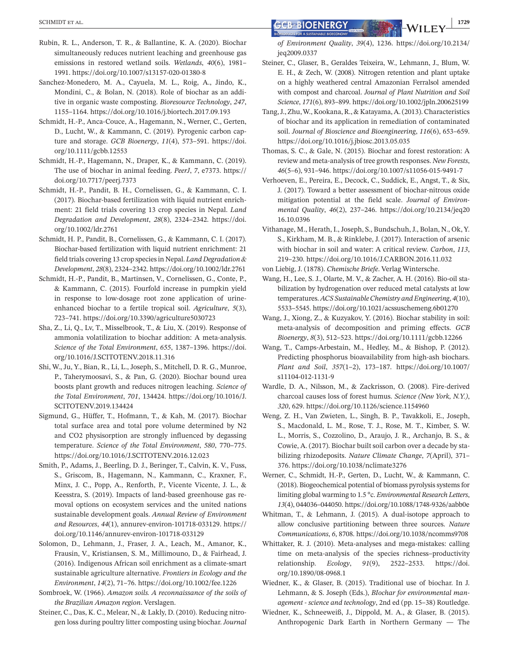- Rubin, R. L., Anderson, T. R., & Ballantine, K. A. (2020). Biochar simultaneously reduces nutrient leaching and greenhouse gas emissions in restored wetland soils. *Wetlands*, *40*(6), 1981– 1991. <https://doi.org/10.1007/s13157-020-01380-8>
- Sanchez-Monedero, M. A., Cayuela, M. L., Roig, A., Jindo, K., Mondini, C., & Bolan, N. (2018). Role of biochar as an additive in organic waste composting. *Bioresource Technology*, *247*, 1155–1164. <https://doi.org/10.1016/j.biortech.2017.09.193>
- Schmidt, H.-P., Anca-Couce, A., Hagemann, N., Werner, C., Gerten, D., Lucht, W., & Kammann, C. (2019). Pyrogenic carbon capture and storage. *GCB Bioenergy*, *11*(4), 573–591. [https://doi.](https://doi.org/10.1111/gcbb.12553) [org/10.1111/gcbb.12553](https://doi.org/10.1111/gcbb.12553)
- Schmidt, H.-P., Hagemann, N., Draper, K., & Kammann, C. (2019). The use of biochar in animal feeding. *PeerJ*, *7*, e7373. [https://](https://doi.org/10.7717/peerj.7373) [doi.org/10.7717/peerj.7373](https://doi.org/10.7717/peerj.7373)
- Schmidt, H.-P., Pandit, B. H., Cornelissen, G., & Kammann, C. I. (2017). Biochar-based fertilization with liquid nutrient enrichment: 21 field trials covering 13 crop species in Nepal. *Land Degradation and Development*, *28*(8), 2324–2342. [https://doi.](https://doi.org/10.1002/ldr.2761) [org/10.1002/ldr.2761](https://doi.org/10.1002/ldr.2761)
- Schmidt, H. P., Pandit, B., Cornelissen, G., & Kammann, C. I. (2017). Biochar-based fertilization with liquid nutrient enrichment: 21 field trials covering 13 crop species in Nepal. *Land Degradation & Development*, *28*(8), 2324–2342.<https://doi.org/10.1002/ldr.2761>
- Schmidt, H.-P., Pandit, B., Martinsen, V., Cornelissen, G., Conte, P., & Kammann, C. (2015). Fourfold increase in pumpkin yield in response to low-dosage root zone application of urineenhanced biochar to a fertile tropical soil. *Agriculture*, *5*(3), 723–741.<https://doi.org/10.3390/agriculture5030723>
- Sha, Z., Li, Q., Lv, T., Misselbrook, T., & Liu, X. (2019). Response of ammonia volatilization to biochar addition: A meta-analysis. *Science of the Total Environment*, *655*, 1387–1396. [https://doi.](https://doi.org/10.1016/J.SCITOTENV.2018.11.316) [org/10.1016/J.SCITOTENV.2018.11.316](https://doi.org/10.1016/J.SCITOTENV.2018.11.316)
- Shi, W., Ju, Y., Bian, R., Li, L., Joseph, S., Mitchell, D. R. G., Munroe, P., Taherymoosavi, S., & Pan, G. (2020). Biochar bound urea boosts plant growth and reduces nitrogen leaching. *Science of the Total Environment*, *701*, 134424. [https://doi.org/10.1016/J.](https://doi.org/10.1016/J.SCITOTENV.2019.134424) [SCITOTENV.2019.134424](https://doi.org/10.1016/J.SCITOTENV.2019.134424)
- Sigmund, G., Hüffer, T., Hofmann, T., & Kah, M. (2017). Biochar total surface area and total pore volume determined by N2 and CO2 physisorption are strongly influenced by degassing temperature. *Science of the Total Environment*, *580*, 770–775. <https://doi.org/10.1016/J.SCITOTENV.2016.12.023>
- Smith, P., Adams, J., Beerling, D. J., Beringer, T., Calvin, K. V., Fuss, S., Griscom, B., Hagemann, N., Kammann, C., Kraxner, F., Minx, J. C., Popp, A., Renforth, P., Vicente Vicente, J. L., & Keesstra, S. (2019). Impacts of land-based greenhouse gas removal options on ecosystem services and the united nations sustainable development goals. *Annual Review of Environment and Resources*, *44*(1), annurev-environ-101718-033129. [https://](https://doi.org/10.1146/annurev-environ-101718-033129) [doi.org/10.1146/annurev-environ-101718-033129](https://doi.org/10.1146/annurev-environ-101718-033129)
- Solomon, D., Lehmann, J., Fraser, J. A., Leach, M., Amanor, K., Frausin, V., Kristiansen, S. M., Millimouno, D., & Fairhead, J. (2016). Indigenous African soil enrichment as a climate-smart sustainable agriculture alternative. *Frontiers in Ecology and the Environment*, *14*(2), 71–76. <https://doi.org/10.1002/fee.1226>
- Sombroek, W. (1966). *Amazon soils. A reconnaissance of the soils of the Brazilian Amazon region*. Verslagen.
- Steiner, C., Das, K. C., Melear, N., & Lakly, D. (2010). Reducing nitrogen loss during poultry litter composting using biochar. *Journal*

*of Environment Quality*, *39*(4), 1236. [https://doi.org/10.2134/](https://doi.org/10.2134/jeq2009.0337) ieg2009.0337

- Steiner, C., Glaser, B., Geraldes Teixeira, W., Lehmann, J., Blum, W. E. H., & Zech, W. (2008). Nitrogen retention and plant uptake on a highly weathered central Amazonian Ferralsol amended with compost and charcoal. *Journal of Plant Nutrition and Soil Science*, *171*(6), 893–899.<https://doi.org/10.1002/jpln.200625199>
- Tang, J., Zhu, W., Kookana, R., & Katayama, A. (2013). Characteristics of biochar and its application in remediation of contaminated soil. *Journal of Bioscience and Bioengineering*, *116*(6), 653–659. <https://doi.org/10.1016/j.jbiosc.2013.05.035>
- Thomas, S. C., & Gale, N. (2015). Biochar and forest restoration: A review and meta-analysis of tree growth responses. *New Forests*, *46*(5–6), 931–946.<https://doi.org/10.1007/s11056-015-9491-7>
- Verhoeven, E., Pereira, E., Decock, C., Suddick, E., Angst, T., & Six, J. (2017). Toward a better assessment of biochar-nitrous oxide mitigation potential at the field scale. *Journal of Environmental Quality*, *46*(2), 237–246. [https://doi.org/10.2134/jeq20](https://doi.org/10.2134/jeq2016.10.0396) [16.10.0396](https://doi.org/10.2134/jeq2016.10.0396)
- Vithanage, M., Herath, I., Joseph, S., Bundschuh, J., Bolan, N., Ok, Y. S., Kirkham, M. B., & Rinklebe, J. (2017). Interaction of arsenic with biochar in soil and water: A critical review. *Carbon*, *113*, 219–230.<https://doi.org/10.1016/J.CARBON.2016.11.032>
- von Liebig, J. (1878). *Chemische Briefe*. Verlag Wintersche.
- Wang, H., Lee, S. J., Olarte, M. V., & Zacher, A. H. (2016). Bio-oil stabilization by hydrogenation over reduced metal catalysts at low temperatures. *ACS Sustainable Chemistry and Engineering*, *4*(10), 5533–5545.<https://doi.org/10.1021/acssuschemeng.6b01270>
- Wang, J., Xiong, Z., & Kuzyakov, Y. (2016). Biochar stability in soil: meta-analysis of decomposition and priming effects. *GCB Bioenergy*, *8*(3), 512–523.<https://doi.org/10.1111/gcbb.12266>
- Wang, T., Camps-Arbestain, M., Hedley, M., & Bishop, P. (2012). Predicting phosphorus bioavailability from high-ash biochars. *Plant and Soil*, *357*(1–2), 173–187. [https://doi.org/10.1007/](https://doi.org/10.1007/s11104-012-1131-9) [s11104-012-1131-9](https://doi.org/10.1007/s11104-012-1131-9)
- Wardle, D. A., Nilsson, M., & Zackrisson, O. (2008). Fire-derived charcoal causes loss of forest humus. *Science (New York, N.Y.)*, *320*, 629.<https://doi.org/10.1126/science.1154960>
- Weng, Z. H., Van Zwieten, L., Singh, B. P., Tavakkoli, E., Joseph, S., Macdonald, L. M., Rose, T. J., Rose, M. T., Kimber, S. W. L., Morris, S., Cozzolino, D., Araujo, J. R., Archanjo, B. S., & Cowie, A. (2017). Biochar built soil carbon over a decade by stabilizing rhizodeposits. *Nature Climate Change*, *7*(April), 371– 376. <https://doi.org/10.1038/nclimate3276>
- Werner, C., Schmidt, H.-P., Gerten, D., Lucht, W., & Kammann, C. (2018). Biogeochemical potential of biomass pyrolysis systems for limiting global warming to 1.5 °c. *Environmental Research Letters*, *13*(4), 044036–044050.<https://doi.org/10.1088/1748-9326/aabb0e>
- Whitman, T., & Lehmann, J. (2015). A dual-isotope approach to allow conclusive partitioning between three sources. *Nature Communications*, *6*, 8708. <https://doi.org/10.1038/ncomms9708>
- Whittaker, R. J. (2010). Meta-analyses and mega-mistakes: calling time on meta-analysis of the species richness–productivity relationship. *Ecology*, *91*(9), 2522–2533. [https://doi.](https://doi.org/10.1890/08-0968.1) [org/10.1890/08-0968.1](https://doi.org/10.1890/08-0968.1)
- Wiedner, K., & Glaser, B. (2015). Traditional use of biochar. In J. Lehmann, & S. Joseph (Eds.), *BIochar for environmental management - science and technology*, 2nd ed (pp. 15–38) Routledge.
- Wiedner, K., Schneeweiß, J., Dippold, M. A., & Glaser, B. (2015). Anthropogenic Dark Earth in Northern Germany — The